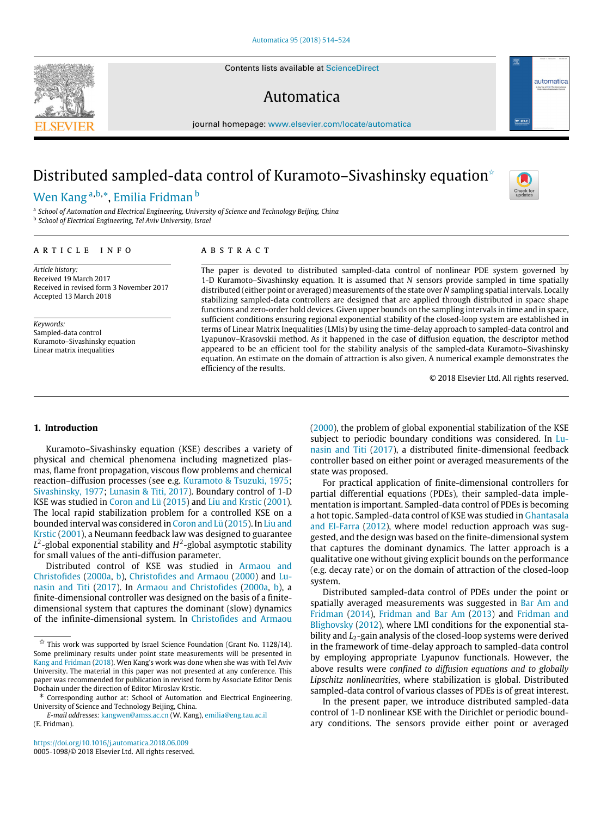Contents lists available at [ScienceDirect](http://www.elsevier.com/locate/automatica)

# Automatica



# Distributed sampled-data control of Kuramoto–Sivashinsky equation<sup>\*</sup>

# [Wen](#page-10-0) [Kang](#page-10-0) <sup>[a,](#page-0-1)[b,](#page-0-2)</sup>[\\*](#page-0-3), [Emilia](#page-10-1) [Fridman](#page-10-1) <sup>[b](#page-0-2)</sup>

<span id="page-0-2"></span><span id="page-0-1"></span>a *School of Automation and Electrical Engineering, University of Science and Technology Beijing, China* b *School of Electrical Engineering, Tel Aviv University, Israel*

# a r t i c l e i n f o

*Article history:* Received 19 March 2017 Received in revised form 3 November 2017 Accepted 13 March 2018

*Keywords:* Sampled-data control Kuramoto–Sivashinsky equation Linear matrix inequalities

# A B S T R A C T

The paper is devoted to distributed sampled-data control of nonlinear PDE system governed by 1-D Kuramoto–Sivashinsky equation. It is assumed that *N* sensors provide sampled in time spatially distributed (either point or averaged) measurements of the state over *N* sampling spatial intervals. Locally stabilizing sampled-data controllers are designed that are applied through distributed in space shape functions and zero-order hold devices. Given upper bounds on the sampling intervals in time and in space, sufficient conditions ensuring regional exponential stability of the closed-loop system are established in terms of Linear Matrix Inequalities (LMIs) by using the time-delay approach to sampled-data control and Lyapunov–Krasovskii method. As it happened in the case of diffusion equation, the descriptor method appeared to be an efficient tool for the stability analysis of the sampled-data Kuramoto–Sivashinsky equation. An estimate on the domain of attraction is also given. A numerical example demonstrates the efficiency of the results.

© 2018 Elsevier Ltd. All rights reserved.

# **1. Introduction**

Kuramoto–Sivashinsky equation (KSE) describes a variety of physical and chemical phenomena including magnetized plasmas, flame front propagation, viscous flow problems and chemical reaction–diffusion processes (see e.g. [Kuramoto](#page-10-2) [&](#page-10-2) [Tsuzuki,](#page-10-2) [1975;](#page-10-2) [Sivashinsky,](#page-10-3) [1977;](#page-10-3) [Lunasin](#page-10-4) [&](#page-10-4) [Titi,](#page-10-4) [2017\)](#page-10-4). Boundary control of 1-D KSE was studied in [Coron](#page-10-5) [and](#page-10-5) [Lü](#page-10-5) [\(2015\)](#page-10-5) and [Liu](#page-10-6) [and](#page-10-6) [Krstic](#page-10-6) [\(2001\)](#page-10-6). The local rapid stabilization problem for a controlled KSE on a bounded interval was considered in [Coron](#page-10-5) [and](#page-10-5) [Lü](#page-10-5) [\(2015\)](#page-10-5). In [Liu](#page-10-6) [and](#page-10-6) [Krstic](#page-10-6) [\(2001\)](#page-10-6), a Neumann feedback law was designed to guarantee  $L^2$ -global exponential stability and  $H^2$ -global asymptotic stability for small values of the anti-diffusion parameter.

Distributed control of KSE was studied in [Armaou](#page-10-7) [and](#page-10-7) [Christofides](#page-10-7) [\(2000a,](#page-10-7) [b\)](#page-10-7), [Christofides](#page-10-8) [and](#page-10-8) [Armaou](#page-10-8) [\(2000\)](#page-10-8) and [Lu](#page-10-4)[nasin](#page-10-4) [and](#page-10-4) [Titi](#page-10-4) [\(2017\)](#page-10-4). In [Armaou](#page-10-7) [and](#page-10-7) [Christofides](#page-10-7) [\(2000a,](#page-10-7) [b\)](#page-10-7), a finite-dimensional controller was designed on the basis of a finitedimensional system that captures the dominant (slow) dynamics of the infinite-dimensional system. In [Christofides](#page-10-8) [and](#page-10-8) [Armaou](#page-10-8)

*E-mail addresses:* [kangwen@amss.ac.cn](mailto:kangwen@amss.ac.cn) (W. Kang), [emilia@eng.tau.ac.il](mailto:emilia@eng.tau.ac.il) (E. Fridman).

<https://doi.org/10.1016/j.automatica.2018.06.009> 0005-1098/© 2018 Elsevier Ltd. All rights reserved. [\(2000\)](#page-10-8), the problem of global exponential stabilization of the KSE [s](#page-10-4)ubject to periodic boundary conditions was considered. In [Lu](#page-10-4)[nasin](#page-10-4) [and](#page-10-4) [Titi](#page-10-4) [\(2017\)](#page-10-4), a distributed finite-dimensional feedback controller based on either point or averaged measurements of the state was proposed.

For practical application of finite-dimensional controllers for partial differential equations (PDEs), their sampled-data implementation is important. Sampled-data control of PDEs is becoming a hot topic. Sampled-data control of KSE was studied in [Ghantasala](#page-10-10) [and](#page-10-10) [El-Farra](#page-10-10) [\(2012\)](#page-10-10), where model reduction approach was suggested, and the design was based on the finite-dimensional system that captures the dominant dynamics. The latter approach is a qualitative one without giving explicit bounds on the performance (e.g. decay rate) or on the domain of attraction of the closed-loop system.

Distributed sampled-data control of PDEs under the point or spatially averaged measurements was suggested in [Bar Am](#page-10-11) [and](#page-10-11) [Fridman](#page-10-11) [\(2014\)](#page-10-11), [Fridman](#page-10-12) [and](#page-10-12) [Bar Am](#page-10-12) [\(2013\)](#page-10-12) and [Fridman](#page-10-13) [and](#page-10-13) [Blighovsky](#page-10-13) [\(2012\)](#page-10-13), where LMI conditions for the exponential stability and *L*<sub>2</sub>-gain analysis of the closed-loop systems were derived in the framework of time-delay approach to sampled-data control by employing appropriate Lyapunov functionals. However, the above results were *confined to diffusion equations and to globally Lipschitz nonlinearities*, where stabilization is global. Distributed sampled-data control of various classes of PDEs is of great interest.

In the present paper, we introduce distributed sampled-data control of 1-D nonlinear KSE with the Dirichlet or periodic boundary conditions. The sensors provide either point or averaged





Check fo

<span id="page-0-0"></span> $\overrightarrow{x}$  This work was supported by Israel Science Foundation (Grant No. 1128/14). Some preliminary results under point state measurements will be presented in [Kang](#page-10-9) [and](#page-10-9) [Fridman](#page-10-9) [\(2018\)](#page-10-9). Wen Kang's work was done when she was with Tel Aviv University. The material in this paper was not presented at any conference. This paper was recommended for publication in revised form by Associate Editor Denis Dochain under the direction of Editor Miroslav Krstic.

<span id="page-0-3"></span><sup>\*</sup> Corresponding author at: School of Automation and Electrical Engineering, University of Science and Technology Beijing, China.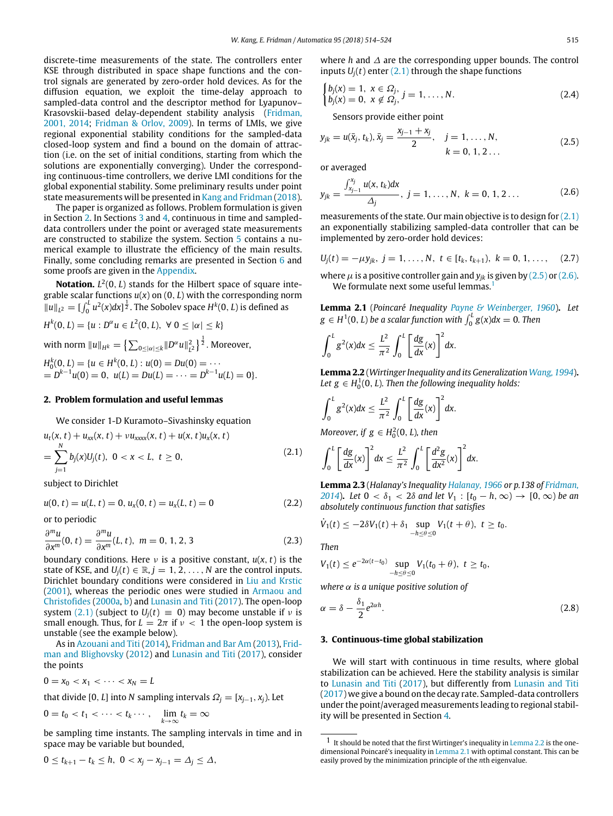discrete-time measurements of the state. The controllers enter KSE through distributed in space shape functions and the control signals are generated by zero-order hold devices. As for the diffusion equation, we exploit the time-delay approach to sampled-data control and the descriptor method for Lyapunov– Krasovskii-based delay-dependent stability analysis [\(Fridman,](#page-10-14) [2001,](#page-10-14) [2014;](#page-10-14) [Fridman](#page-10-15) [&](#page-10-15) [Orlov,](#page-10-15) [2009\)](#page-10-15). In terms of LMIs, we give regional exponential stability conditions for the sampled-data closed-loop system and find a bound on the domain of attraction (i.e. on the set of initial conditions, starting from which the solutions are exponentially converging). Under the corresponding continuous-time controllers, we derive LMI conditions for the global exponential stability. Some preliminary results under point state measurements will be presented in [Kang](#page-10-9) [and](#page-10-9) [Fridman](#page-10-9) [\(2018\)](#page-10-9).

The paper is organized as follows. Problem formulation is given in Section [2.](#page-1-0) In Sections [3](#page-1-1) and [4,](#page-3-0) continuous in time and sampleddata controllers under the point or averaged state measurements are constructed to stabilize the system. Section [5](#page-7-0) contains a numerical example to illustrate the efficiency of the main results. Finally, some concluding remarks are presented in Section [6](#page-7-1) and some proofs are given in the [Appendix.](#page-8-0)

**Notation.** *L* 2 (0, *L*) stands for the Hilbert space of square integrable scalar functions *u*(*x*) on (0, *L*) with the corresponding norm  $||u||_{L^2} = \left[\int_0^L u^2(x)dx\right]^{\frac{1}{2}}$ . The Sobolev space  $H^k(0,L)$  is defined as

 $H^k(0, L) = \{u : D^\alpha u \in L^2(0, L), \ \forall \ 0 \leq |\alpha| \leq k\}$ with norm  $\|u\|_{H^k}=\left\{\sum_{0\leq|\alpha|\leq k}\lVert D^\alpha u\rVert_{L^2}^2\right\}^{\frac{1}{2}}.$  Moreover,  $H_0^k(0, L) = \{u \in H^k(0, L) : u(0) = Du(0) = \cdots \}$  $= D^{k-1}u(0) = 0, u(L) = Du(L) = \cdots = D^{k-1}u(L) = 0$ .

# <span id="page-1-0"></span>**2. Problem formulation and useful lemmas**

We consider 1-D Kuramoto–Sivashinsky equation

<span id="page-1-2"></span>
$$
u_t(x, t) + u_{xx}(x, t) + \nu u_{xxxx}(x, t) + u(x, t)u_x(x, t)
$$
  
= 
$$
\sum_{j=1}^{N} b_j(x)U_j(t), \ 0 < x < L, \ t \geq 0,
$$
 (2.1)

subject to Dirichlet

<span id="page-1-8"></span>
$$
u(0, t) = u(L, t) = 0, u_x(0, t) = u_x(L, t) = 0
$$
\n(2.2)

or to periodic

<span id="page-1-9"></span>
$$
\frac{\partial^m u}{\partial x^m}(0, t) = \frac{\partial^m u}{\partial x^m}(L, t), \quad m = 0, 1, 2, 3
$$
\n(2.3)

boundary conditions. Here  $\nu$  is a positive constant,  $u(x, t)$  is the state of KSE, and  $U_i(t) \in \mathbb{R}, j = 1, 2, \ldots, N$  are the control inputs. Dirichlet boundary conditions were considered in [Liu](#page-10-6) [and](#page-10-6) [Krstic](#page-10-6) [\(2001\)](#page-10-6), whereas the periodic ones were studied in [Armaou](#page-10-7) [and](#page-10-7) [Christofides](#page-10-7) [\(2000a,](#page-10-7) [b\)](#page-10-7) and [Lunasin](#page-10-4) [and](#page-10-4) [Titi](#page-10-4) [\(2017\)](#page-10-4). The open-loop system [\(2.1\)](#page-1-2) (subject to  $U_i(t) \equiv 0$ ) may become unstable if v is small enough. Thus, for  $L = 2\pi$  if  $\nu < 1$  the open-loop system is unstable (see the example below).

As in [Azouani](#page-10-16) [and](#page-10-16) [Titi](#page-10-16) [\(2014\)](#page-10-16), [Fridman](#page-10-12) [and](#page-10-12) [Bar Am](#page-10-12) [\(2013\)](#page-10-12), [Frid](#page-10-13)[man](#page-10-13) [and](#page-10-13) [Blighovsky](#page-10-13) [\(2012\)](#page-10-13) and [Lunasin](#page-10-4) [and](#page-10-4) [Titi](#page-10-4) [\(2017\)](#page-10-4), consider the points

$$
0=x_0 < x_1 < \cdots < x_N = L
$$

that divide [0, *L*] into *N* sampling intervals  $\Omega_j = [x_{j-1}, x_j]$ . Let

$$
0 = t_0 < t_1 < \cdots < t_k \cdots, \quad \lim_{k \to \infty} t_k = \infty
$$

be sampling time instants. The sampling intervals in time and in space may be variable but bounded,

$$
0 \le t_{k+1} - t_k \le h, \ 0 < x_j - x_{j-1} = \Delta_j \le \Delta,
$$

where *h* and ∆ are the corresponding upper bounds. The control inputs  $U_i(t)$  enter  $(2.1)$  through the shape functions

$$
\begin{cases} b_j(x) = 1, \ x \in \Omega_j, \\ b_j(x) = 0, \ x \notin \Omega_j, \ j = 1, \dots, N. \end{cases}
$$
\n(2.4)

Sensors provide either point

<span id="page-1-3"></span>
$$
y_{jk} = u(\bar{x}_j, t_k), \bar{x}_j = \frac{x_{j-1} + x_j}{2}, \quad j = 1, ..., N, k = 0, 1, 2 ...
$$
 (2.5)

or averaged

<span id="page-1-4"></span>
$$
y_{jk} = \frac{\int_{x_{j-1}}^{x_j} u(x, t_k) dx}{\Delta_j}, \ j = 1, \dots, N, \ k = 0, 1, 2 \dots
$$
 (2.6)

measurements of the state. Our main objective is to design for [\(2.1\)](#page-1-2) an exponentially stabilizing sampled-data controller that can be implemented by zero-order hold devices:

<span id="page-1-10"></span>
$$
U_j(t) = -\mu y_{jk}, \ j = 1, \ldots, N, \ t \in [t_k, t_{k+1}), \ k = 0, 1, \ldots, \quad (2.7)
$$

where  $\mu$  is a positive controller gain and  $y_{ik}$  is given by [\(2.5\)](#page-1-3) or [\(2.6\).](#page-1-4) We formulate next some useful lemmas.

<span id="page-1-7"></span>**Lemma 2.1** (*Poincaré Inequality [Payne](#page-10-17) [&](#page-10-17) [Weinberger,](#page-10-17) [1960](#page-10-17)*)**.** *Let*  $g \in H^1(0, L)$  *be a scalar function with*  $\int_0^L g(x) dx = 0$ *. Then* 

$$
\int_0^L g^2(x)dx \leq \frac{L^2}{\pi^2} \int_0^L \left[\frac{dg}{dx}(x)\right]^2 dx.
$$

<span id="page-1-6"></span>**Lemma 2.2** (*Wirtinger Inequality and its Generalization [Wang,](#page-10-18) [1994](#page-10-18)*)**.** *Let*  $g \in H_0^1(0, L)$ *. Then the following inequality holds:* 

$$
\int_0^L g^2(x)dx \leq \frac{L^2}{\pi^2} \int_0^L \left[\frac{dg}{dx}(x)\right]^2 dx.
$$

*Moreover, if*  $g \in H_0^2(0, L)$ *, then* 

$$
\int_0^L \left[ \frac{dg}{dx}(x) \right]^2 dx \leq \frac{L^2}{\pi^2} \int_0^L \left[ \frac{d^2g}{dx^2}(x) \right]^2 dx.
$$

**Lemma 2.3** (*Halanay's Inequality [Halanay,](#page-10-19) [1966](#page-10-19) or p.138 of [Fridman,](#page-10-20) [2014](#page-10-20)*). Let  $0 < \delta_1 < 2\delta$  and let  $V_1 : [t_0 - h, \infty) \to [0, \infty)$  be an *absolutely continuous function that satisfies*

$$
\dot{V}_1(t) \leq -2\delta V_1(t) + \delta_1 \sup_{-h \leq \theta \leq 0} V_1(t+\theta), \ t \geq t_0.
$$

*Then*

$$
V_1(t) \le e^{-2\alpha(t-t_0)} \sup_{-h \le \theta \le 0} V_1(t_0 + \theta), \ t \ge t_0,
$$

*where* α *is a unique positive solution of*

<span id="page-1-11"></span>
$$
\alpha = \delta - \frac{\delta_1}{2} e^{2\alpha h}.\tag{2.8}
$$

#### <span id="page-1-1"></span>**3. Continuous-time global stabilization**

We will start with continuous in time results, where global stabilization can be achieved. Here the stability analysis is similar to [Lunasin](#page-10-4) [and](#page-10-4) [Titi](#page-10-4) [\(2017\)](#page-10-4), but differently from [Lunasin](#page-10-4) [and](#page-10-4) [Titi](#page-10-4) [\(2017\)](#page-10-4) we give a bound on the decay rate. Sampled-data controllers under the point/averaged measurements leading to regional stability will be presented in Section [4.](#page-3-0)

<span id="page-1-5"></span> $1$  It should be noted that the first Wirtinger's inequality in [Lemma 2.2](#page-1-6) is the onedimensional Poincaré's inequality in [Lemma 2.1](#page-1-7) with optimal constant. This can be easily proved by the minimization principle of the *n*th eigenvalue.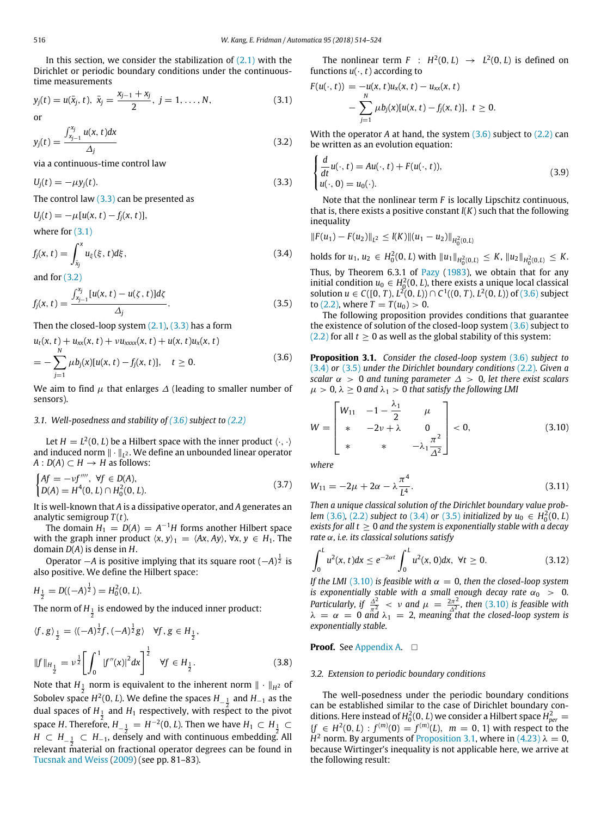In this section, we consider the stabilization of  $(2.1)$  with the Dirichlet or periodic boundary conditions under the continuoustime measurements

<span id="page-2-1"></span>
$$
y_j(t) = u(\bar{x}_j, t), \ \bar{x}_j = \frac{x_{j-1} + x_j}{2}, \ j = 1, ..., N,
$$
 (3.1)

$$
\quad \text{or} \quad
$$

<span id="page-2-2"></span>
$$
y_j(t) = \frac{\int_{x_{j-1}}^{x_j} u(x, t) dx}{\Delta_j}
$$
 (3.2)

via a continuous-time control law

<span id="page-2-0"></span>
$$
U_j(t) = -\mu y_j(t). \tag{3.3}
$$

The control law  $(3.3)$  can be presented as

 $U_i(t) = -\mu[u(x, t) - f_i(x, t)],$ 

where for  $(3.1)$ 

<span id="page-2-4"></span>
$$
f_j(x,t) = \int_{\bar{x}_j}^x u_{\xi}(\xi, t) d\xi, \qquad (3.4)
$$

and for  $(3.2)$ 

<span id="page-2-5"></span>
$$
f_j(x,t) = \frac{\int_{x_{j-1}}^{x_j} [u(x,t) - u(\zeta, t)] d\zeta}{\Delta_j}.
$$
\n(3.5)

Then the closed-loop system  $(2.1)$ ,  $(3.3)$  has a form

<span id="page-2-3"></span>
$$
u_t(x, t) + u_{xx}(x, t) + \nu u_{xxxx}(x, t) + u(x, t)u_x(x, t)
$$
  
= 
$$
-\sum_{j=1}^{N} \mu b_j(x)[u(x, t) - f_j(x, t)], \quad t \ge 0.
$$
 (3.6)

We aim to find  $\mu$  that enlarges  $\Delta$  (leading to smaller number of sensors).

## *3.1. Well-posedness and stability of [\(3.6\)](#page-2-3) subject to [\(2.2\)](#page-1-8)*

Let  $H = L^2(0, L)$  be a Hilbert space with the inner product  $\langle \cdot, \cdot \rangle$ and induced norm ∥ · ∥*<sup>L</sup>* <sup>2</sup> . We define an unbounded linear operator  $A: D(A) \subset H \rightarrow H$  as follows:

<span id="page-2-10"></span>
$$
\begin{cases} Af = -vf''', \ \forall f \in D(A), \\ D(A) = H^4(0, L) \cap H_0^2(0, L). \end{cases} \tag{3.7}
$$

It is well-known that *A* is a dissipative operator, and *A* generates an analytic semigroup  $T(t)$ .

The domain  $H_1 = D(A) = A^{-1}H$  forms another Hilbert space with the graph inner product  $\langle x, y \rangle_1 = \langle Ax, Ay \rangle$ ,  $\forall x, y \in H_1$ . The domain *D*(*A*) is dense in *H*.

Operator −*A* is positive implying that its square root (−*A*) 1 <sup>2</sup> is also positive. We define the Hilbert space:

$$
H_{\frac{1}{2}} = D((-A)^{\frac{1}{2}}) = H_0^2(0, L).
$$

The norm of  $H_{\frac{1}{2}}$  is endowed by the induced inner product:

$$
\langle f, g \rangle_{\frac{1}{2}} = \langle (-A)^{\frac{1}{2}} f, (-A)^{\frac{1}{2}} g \rangle \quad \forall f, g \in H_{\frac{1}{2}},
$$
  

$$
||f||_{H_{\frac{1}{2}}} = \nu^{\frac{1}{2}} \left[ \int_0^1 |f''(x)|^2 dx \right]^{\frac{1}{2}} \quad \forall f \in H_{\frac{1}{2}}.
$$
 (3.8)

Note that  $H_{\frac{1}{2}}$  norm is equivalent to the inherent norm  $\|\cdot\|_{H^2}$  of Sobolev space  $H^2(0,L)$ . We define the spaces  $H_{-\frac{1}{4}}$  and  $H_{-1}$  as the dual spaces of  $H_1$  and  $H_1$  respectively, with respect to the pivot space *H*. Therefore,  $H_{-\frac{1}{2}} = H^{-2}(0,L)$ . Then we have  $H_1 \subset H_{\frac{1}{2}} \subset$ *H* ⊂  $H_{-\frac{1}{2}}$  ⊂  $H_{-1}$ , densely and with continuous embedding. All relevant  $\stackrel{2}{\text{m}}$ aterial on fractional operator degrees can be found in [Tucsnak](#page-10-21) [and](#page-10-21) [Weiss](#page-10-21) [\(2009\)](#page-10-21) (see pp. 81–83).

The nonlinear term  $F : H^2(0,L) \rightarrow L^2(0,L)$  is defined on functions  $u(\cdot, t)$  according to

$$
F(u(\cdot, t)) = -u(x, t)u_x(x, t) - u_{xx}(x, t)
$$
  
- 
$$
\sum_{j=1}^N \mu b_j(x)[u(x, t) - f_j(x, t)], t \ge 0.
$$

With the operator *A* at hand, the system [\(3.6\)](#page-2-3) subject to [\(2.2\)](#page-1-8) can be written as an evolution equation:

<span id="page-2-9"></span>
$$
\begin{cases}\n\frac{d}{dt}u(\cdot, t) = Au(\cdot, t) + F(u(\cdot, t)),\\ \nu(\cdot, 0) = u_0(\cdot).\n\end{cases}
$$
\n(3.9)

Note that the nonlinear term *F* is locally Lipschitz continuous, that is, there exists a positive constant *l*(*K*) such that the following inequality

$$
||F(u_1) - F(u_2)||_{L^2} \leq l(K)||(u_1 - u_2)||_{H_0^2(0,L)}
$$

holds for *u*<sub>1</sub>, *u*<sub>2</sub> ∈ *H*<sub>0</sub><sup>2</sup>(0, *L*) with  $||u_1||_{H_0^2(0,L)}$  ≤ *K*,  $||u_2||_{H_0^2(0,L)}$  ≤ *K*. Thus, by Theorem 6.3.1 of [Pazy](#page-10-22) [\(1983\)](#page-10-22), we obtain that for any initial condition  $u_0 \in H_0^2(0, L)$ , there exists a unique local classical solution *u* ∈ *C*([0, *T*), *L*<sup>2</sup>(0, *L*)) ∩ *C*<sup>1</sup>((0, *T*), *L*<sup>2</sup>(0, *L*)) of [\(3.6\)](#page-2-3) subject to [\(2.2\),](#page-1-8) where  $T = T(u_0) > 0$ .

The following proposition provides conditions that guarantee the existence of solution of the closed-loop system  $(3.6)$  subject to  $(2.2)$  for all  $t \ge 0$  as well as the global stability of this system:

<span id="page-2-7"></span>**Proposition 3.1.** *Consider the closed-loop system* [\(3.6\)](#page-2-3) *subject to* [\(3.4\)](#page-2-4) *or* [\(3.5\)](#page-2-5) *under the Dirichlet boundary conditions* [\(2.2\)](#page-1-8)*. Given a scalar*  $\alpha > 0$  *and tuning parameter*  $\Delta > 0$ *, let there exist scalars*  $\mu > 0$ ,  $\lambda \geq 0$  and  $\lambda_1 > 0$  that satisfy the following LMI

<span id="page-2-6"></span>
$$
W = \begin{bmatrix} W_{11} & -1 - \frac{\lambda_1}{2} & \mu \\ * & -2\nu + \lambda & 0 \\ * & * & -\lambda_1 \frac{\pi^2}{\Delta^2} \end{bmatrix} < 0,
$$
 (3.10)

*where*

$$
W_{11} = -2\mu + 2\alpha - \lambda \frac{\pi^4}{L^4}.
$$
 (3.11)

*Then a unique classical solution of the Dirichlet boundary value problem* [\(3.6\)](#page-2-3)*,* [\(2.2\)](#page-1-8) *subject to* [\(3.4\)](#page-2-4) *or* [\(3.5\)](#page-2-5) *initialized by*  $u_0 \in H_0^2(0, L)$ *exists for all t*  $\geq$  0 *and the system is exponentially stable with a decay rate* α*, i.e. its classical solutions satisfy*

<span id="page-2-8"></span>
$$
\int_0^L u^2(x, t) dx \le e^{-2\alpha t} \int_0^L u^2(x, 0) dx, \ \forall t \ge 0.
$$
 (3.12)

*If the LMI* [\(3.10\)](#page-2-6) *is feasible with*  $\alpha = 0$ , *then the closed-loop system is exponentially stable with a small enough decay rate*  $\alpha_0 > 0$ . *Particularly, if*  $\frac{\Delta^2}{\pi^2}$  < *v* and  $\mu = \frac{2\pi^2}{\Delta^2}$  $\frac{2\pi^2}{\Delta^2}$ , then [\(3.10\)](#page-2-6) is feasible with  $\lambda = \alpha = 0$  and  $\lambda_1 = 2$ , meaning that the closed-loop system is *exponentially stable.*

# **Proof.** See [Appendix A.](#page-8-0) □

#### <span id="page-2-11"></span>*3.2. Extension to periodic boundary conditions*

The well-posedness under the periodic boundary conditions can be established similar to the case of Dirichlet boundary conditions. Here instead of  $H_0^2(0, L)$  we consider a Hilbert space  $H_{per}^2 =$  ${f}$  ∈ *H*<sup>2</sup>(0, *L*) :  $f^{(m)}(0) = f^{(m)}(L)$ , *m* = 0, 1} with respect to the *H*<sup>2</sup> norm. By arguments of [Proposition 3.1,](#page-2-7) where in [\(4.23\)](#page-5-0)  $\lambda = 0$ , because Wirtinger's inequality is not applicable here, we arrive at the following result: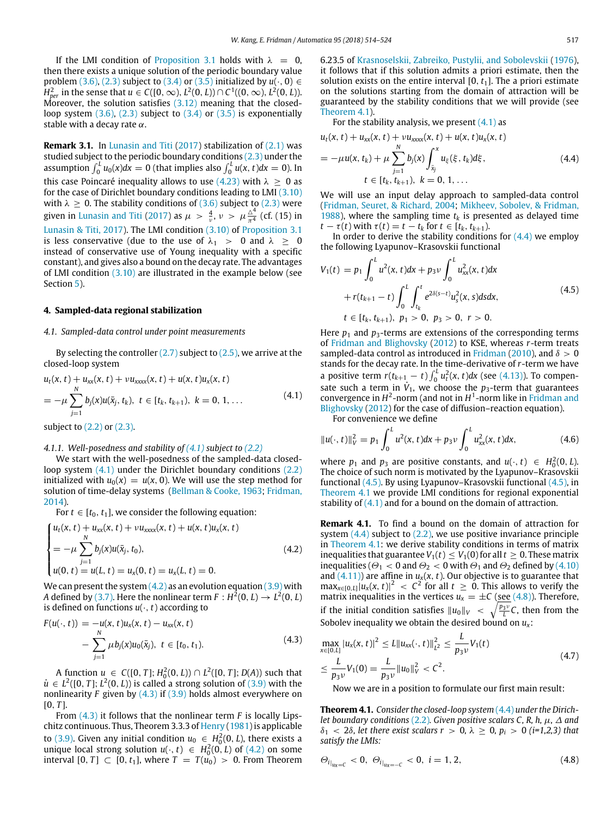If the LMI condition of [Proposition 3.1](#page-2-7) holds with  $\lambda = 0$ . then there exists a unique solution of the periodic boundary value problem [\(3.6\),](#page-2-3) [\(2.3\)](#page-1-9) subject to [\(3.4\)](#page-2-4) or [\(3.5\)](#page-2-5) initialized by  $u(\cdot, 0) \in$ *H*<sub>per</sub> in the sense that *u* ∈ *C*([0, ∞), *L*<sup>2</sup>(0, *L*))∩ *C*<sup>1</sup>((0, ∞), *L*<sup>2</sup>(0, *L*)). Moreover, the solution satisfies [\(3.12\)](#page-2-8) meaning that the closedloop system  $(3.6)$ ,  $(2.3)$  subject to  $(3.4)$  or  $(3.5)$  is exponentially stable with a decay rate  $\alpha$ .

**Remark 3.1.** In [Lunasin](#page-10-4) [and](#page-10-4) [Titi](#page-10-4) [\(2017\)](#page-10-4) stabilization of [\(2.1\)](#page-1-2) was studied subject to the periodic boundary conditions [\(2.3\)](#page-1-9) under the assumption  $\int_0^L u_0(x) dx = 0$  (that implies also  $\int_0^L u(x, t) dx = 0$ ). In this case Poincaré inequality allows to use [\(4.23\)](#page-5-0) with  $\lambda \geq 0$  as for the case of Dirichlet boundary conditions leading to LMI [\(3.10\)](#page-2-6) with  $\lambda \geq 0$ . The stability conditions of [\(3.6\)](#page-2-3) subject to [\(2.3\)](#page-1-9) were given in [Lunasin](#page-10-4) [and](#page-10-4) [Titi](#page-10-4) [\(2017\)](#page-10-4) as  $\mu > \frac{4}{\nu}$ ,  $\nu > \mu \frac{\Delta^4}{\pi^4}$  (cf. (15) in [Lunasin](#page-10-4) [&](#page-10-4) [Titi,](#page-10-4) [2017\)](#page-10-4). The LMI condition [\(3.10\)](#page-2-6) of [Proposition 3.1](#page-2-7) is less conservative (due to the use of  $\lambda_1 > 0$  and  $\lambda > 0$ instead of conservative use of Young inequality with a specific constant), and gives also a bound on the decay rate. The advantages of LMI condition [\(3.10\)](#page-2-6) are illustrated in the example below (see Section [5\)](#page-7-0).

#### <span id="page-3-0"></span>**4. Sampled-data regional stabilization**

#### *4.1. Sampled-data control under point measurements*

By selecting the controller  $(2.7)$  subject to  $(2.5)$ , we arrive at the closed-loop system

<span id="page-3-1"></span>
$$
u_t(x, t) + u_{xx}(x, t) + \nu u_{xxxx}(x, t) + u(x, t)u_x(x, t)
$$
  
= 
$$
-\mu \sum_{j=1}^N b_j(x)u(\bar{x}_j, t_k), t \in [t_k, t_{k+1}), k = 0, 1, ...
$$
 (4.1)

subject to [\(2.2\)](#page-1-8) or [\(2.3\).](#page-1-9)

#### *4.1.1. Well-posedness and stability of [\(4.1\)](#page-3-1) subject to [\(2.2\)](#page-1-8)*

We start with the well-posedness of the sampled-data closedloop system  $(4.1)$  under the Dirichlet boundary conditions  $(2.2)$ initialized with  $u_0(x) = u(x, 0)$ . We will use the step method for solution of time-delay systems [\(Bellman](#page-10-23) [&](#page-10-23) [Cooke,](#page-10-23) [1963;](#page-10-23) [Fridman,](#page-10-20) [2014\)](#page-10-20).

For  $t \in [t_0, t_1]$ , we consider the following equation:

<span id="page-3-2"></span>
$$
\begin{cases}\n u_t(x, t) + u_{xx}(x, t) + \nu u_{xxxx}(x, t) + u(x, t)u_x(x, t) \\
= -\mu \sum_{j=1}^{N} b_j(x)u(\bar{x}_j, t_0), \\
 u(0, t) = u(L, t) = u_x(0, t) = u_x(L, t) = 0.\n\end{cases}
$$
\n(4.2)

We can present the system  $(4.2)$  as an evolution equation  $(3.9)$  with A defined by [\(3.7\).](#page-2-10) Here the nonlinear term  $F:H^2(0,L)\to L^2(0,L)$ is defined on functions  $u(\cdot, t)$  according to

<span id="page-3-3"></span>
$$
F(u(\cdot, t)) = -u(x, t)u_x(x, t) - u_{xx}(x, t)
$$
  
- 
$$
\sum_{j=1}^{N} \mu b_j(x)u_0(\bar{x}_j), \ t \in [t_0, t_1).
$$
 (4.3)

A function *u* ∈ *C*([0, *T*]; *H*<sub>0</sub><sup>2</sup>(0, *L*)) ∩ *L*<sup>2</sup>([0, *T*]; *D*(*A*)) such that  $\dot{u} \in L^2([0, T]; L^2(0, L))$  is called a strong solution of  $(3.9)$  with the nonlinearity *F* given by [\(4.3\)](#page-3-3) if [\(3.9\)](#page-2-9) holds almost everywhere on  $[0, T]$ .

From [\(4.3\)](#page-3-3) it follows that the nonlinear term *F* is locally Lipschitz continuous. Thus, Theorem 3.3.3 of [Henry](#page-10-24) [\(1981\)](#page-10-24) is applicable to [\(3.9\).](#page-2-9) Given any initial condition  $u_0 \n\in H_0^2(0,L)$ , there exists a unique local strong solution *u*( $\cdot$ , *t*) ∈ *H*<sub>0</sub><sup>2</sup>(0, *L*) of (4,2) on some interval  $[0, T] \subset [0, t_1]$ , where  $T = T(u_0) > 0$ . From Theorem 6.23.5 of [Krasnoselskii,](#page-10-25) [Zabreiko,](#page-10-25) [Pustylii,](#page-10-25) [and](#page-10-25) [Sobolevskii](#page-10-25) [\(1976\)](#page-10-25), it follows that if this solution admits a priori estimate, then the solution exists on the entire interval  $[0, t<sub>1</sub>]$ . The a priori estimate on the solutions starting from the domain of attraction will be guaranteed by the stability conditions that we will provide (see [Theorem 4.1\)](#page-3-4).

For the stability analysis, we present  $(4.1)$  as

<span id="page-3-5"></span>
$$
u_t(x, t) + u_{xx}(x, t) + \nu u_{xxxx}(x, t) + u(x, t)u_x(x, t)
$$
  
=  $-\mu u(x, t_k) + \mu \sum_{j=1}^N b_j(x) \int_{\tilde{x}_j}^x u_{\xi}(\xi, t_k) d\xi,$  (4.4)  
 $t \in [t_k, t_{k+1}), k = 0, 1, ...$ 

We will use an input delay approach to sampled-data control [\(Fridman,](#page-10-26) [Seuret,](#page-10-26) [&](#page-10-26) [Richard,](#page-10-26) [2004;](#page-10-26) [Mikheev,](#page-10-27) [Sobolev,](#page-10-27) [&](#page-10-27) [Fridman,](#page-10-27) [1988\)](#page-10-27), where the sampling time  $t_k$  is presented as delayed time  $t - \tau(t)$  with  $\tau(t) = t - t_k$  for  $t \in [t_k, t_{k+1})$ .

In order to derive the stability conditions for  $(4.4)$  we employ the following Lyapunov–Krasovskii functional

<span id="page-3-6"></span>
$$
V_1(t) = p_1 \int_0^L u^2(x, t) dx + p_3 \nu \int_0^L u_{xx}^2(x, t) dx
$$
  
+  $r(t_{k+1} - t) \int_0^L \int_{t_k}^t e^{2\delta(s-t)} u_s^2(x, s) ds dx$ ,  
 $t \in [t_k, t_{k+1}), \ p_1 > 0, \ p_3 > 0, \ r > 0.$  (4.5)

Here  $p_1$  and  $p_3$ -terms are extensions of the corresponding terms of [Fridman](#page-10-13) [and](#page-10-13) [Blighovsky](#page-10-13) [\(2012\)](#page-10-13) to KSE, whereas *r*-term treats sampled-data control as introduced in [Fridman](#page-10-28) [\(2010\)](#page-10-28), and  $\delta > 0$ stands for the decay rate. In the time-derivative of *r*-term we have a positive term  $r(t_{k+1} - t) \int_0^L u_t^2(x, t) dx$  (see [\(4.13\)\)](#page-4-0). To compensate such a term in  $\dot{V}_1$ , we choose the  $p_3$ -term that guarantees convergence in  $H^2$ -norm ([and](#page-10-13) not in  $H^1$ -norm like in [Fridman](#page-10-13) and [Blighovsky](#page-10-13) [\(2012\)](#page-10-13) for the case of diffusion–reaction equation).

For convenience we define

$$
||u(\cdot,t)||_V^2 = p_1 \int_0^L u^2(x,t)dx + p_3 \nu \int_0^L u_{xx}^2(x,t)dx,
$$
 (4.6)

where  $p_1$  and  $p_3$  are positive constants, and  $u(\cdot, t) \in H_0^2(0, L)$ . The choice of such norm is motivated by the Lyapunov–Krasovskii functional [\(4.5\).](#page-3-6) By using Lyapunov–Krasovskii functional [\(4.5\),](#page-3-6) in [Theorem 4.1](#page-3-4) we provide LMI conditions for regional exponential stability of  $(4.1)$  and for a bound on the domain of attraction.

**Remark 4.1.** To find a bound on the domain of attraction for system [\(4.4\)](#page-3-5) subject to [\(2.2\),](#page-1-8) we use positive invariance principle in [Theorem 4.1:](#page-3-4) we derive stability conditions in terms of matrix inequalities that guarantee  $V_1(t) \leq V_1(0)$  for all  $t \geq 0$ . These matrix inequalities ( $\Theta_1 < 0$  and  $\Theta_2 < 0$  with  $\Theta_1$  and  $\Theta_2$  defined by [\(4.10\)](#page-4-1) and  $(4.11)$  are affine in  $u_x(x, t)$ . Our objective is to guarantee that  $\max_{x \in [0, L]} |u_x(x, t)|^2$  <  $C^2$  for all  $t \ge 0$ . This allows to verify the matrix inequalities in the vertices  $u_x = \pm C$  (see [\(4.8\)\)](#page-3-7). Therefore, if the initial condition satisfies  $||u_0||_V < \sqrt{\frac{p_3 v}{L}}C$ , then from the Sobolev inequality we obtain the desired bound on  $u_x$ :

<span id="page-3-8"></span>
$$
\max_{x \in [0,1]} |u_x(x,t)|^2 \le L \|u_{xx}(\cdot,t)\|_{L^2}^2 \le \frac{L}{p_3\nu} V_1(t)
$$
  

$$
\le \frac{L}{p_3\nu} V_1(0) = \frac{L}{p_3\nu} \|u_0\|_{V}^2 < C^2.
$$
 (4.7)

Now we are in a position to formulate our first main result:

<span id="page-3-4"></span>**Theorem 4.1.** *Consider the closed-loop system* [\(4.4\)](#page-3-5) *under the Dirichlet boundary conditions* [\(2.2\)](#page-1-8)*. Given positive scalars C, R, h,* µ*,* ∆ *and* δ<sup>1</sup> < 2δ*, let there exist scalars r* > 0*,* λ ≥ 0*, p<sup>i</sup>* > 0 *(i=1,2,3) that satisfy the LMIs:*

<span id="page-3-7"></span>
$$
\Theta_{i}|_{u_x = C} < 0, \ \Theta_{i}|_{u_x = -C} < 0, \ i = 1, 2,\tag{4.8}
$$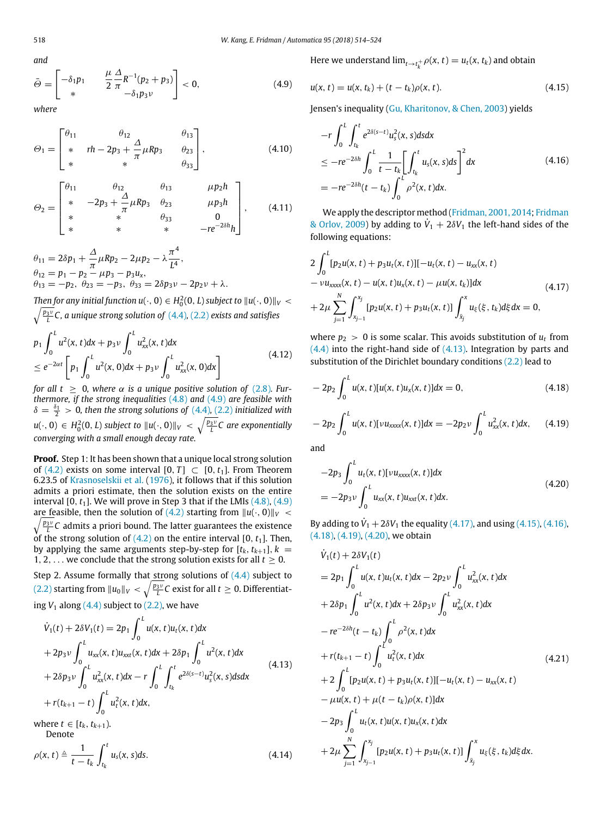<span id="page-4-3"></span>and  
\n
$$
\bar{\Theta} = \begin{bmatrix} -\delta_1 p_1 & \frac{\mu}{2} \frac{\Delta}{\pi} R^{-1} (p_2 + p_3) \\ * & -\delta_1 p_3 v \end{bmatrix} < 0,
$$
\n(4.9)

*where*

<span id="page-4-1"></span>
$$
\Theta_1 = \begin{bmatrix} \theta_{11} & \theta_{12} & \theta_{13} \\ * & rh - 2p_3 + \frac{\Delta}{\pi} \mu R p_3 & \theta_{23} \\ * & * & \theta_{33} \end{bmatrix},
$$
(4.10)

<span id="page-4-2"></span>
$$
\Theta_2 = \begin{bmatrix} \theta_{11} & \theta_{12} & \theta_{13} & \mu p_2 h \\ * & -2p_3 + \frac{\Delta}{\pi} \mu R p_3 & \theta_{23} & \mu p_3 h \\ * & * & \theta_{33} & 0 \\ * & * & * & -re^{-2\delta h} h \end{bmatrix}, \quad (4.11)
$$

$$
\theta_{11} = 2\delta p_1 + \frac{\Delta}{\pi} \mu R p_2 - 2\mu p_2 - \lambda \frac{\pi^4}{L^4},
$$
  
\n
$$
\theta_{12} = p_1 - p_2 - \mu p_3 - p_3 u_x,
$$
  
\n
$$
\theta_{13} = -p_2, \ \theta_{23} = -p_3, \ \theta_{33} = 2\delta p_3 v - 2p_2 v + \lambda.
$$

*Then for any initial function u(* $\cdot$ *, 0)*  $\in$   $H^2_0(0,L)$  *subject to*  $\|u(\cdot,0)\|_V$   $<$ *Phonon any minimipalities at*  $(0, 0) \subset R_0(\mathbf{C}, \mathbf{L})$  *subject* to  $\|\mathbf{a}\|$ ,  $\langle 0, \mathbf{b}\rangle\|$ <br> $\sqrt{\frac{p_3}{L}}C$ , a unique strong solution of  $(4.4)$ ,  $(2.2)$  exists and satisfies

<span id="page-4-11"></span>
$$
p_1 \int_0^L u^2(x, t) dx + p_3 \nu \int_0^L u_{xx}^2(x, t) dx
$$
  
\n
$$
\le e^{-2\alpha t} \left[ p_1 \int_0^L u^2(x, 0) dx + p_3 \nu \int_0^L u_{xx}^2(x, 0) dx \right]
$$
\n(4.12)

*for all t* > 0, where  $\alpha$  *is a unique positive solution of* [\(2.8\)](#page-1-11). Fur*thermore, if the strong inequalities* [\(4.8\)](#page-3-7) *and* [\(4.9\)](#page-4-3) *are feasible with*  $\delta = \frac{\delta_1}{2} > 0$ , then the strong solutions of [\(4.4\)](#page-3-5), [\(2.2\)](#page-1-8) *initialized with*  $u(\cdot,0)\,\in\, H^2_0(0,L)$  subject to  $\|u(\cdot,0)\|_V\,<\,\sqrt{\frac{p_3v}{L}}\textsf{C}$  are exponentially *converging with a small enough decay rate.*

**Proof.** Step 1: It has been shown that a unique local strong solution of [\(4.2\)](#page-3-2) exists on some interval  $[0, T] \subset [0, t_1]$ . From Theorem 6.23.5 of [Krasnoselskii](#page-10-25) [et](#page-10-25) [al.](#page-10-25) [\(1976\)](#page-10-25), it follows that if this solution admits a priori estimate, then the solution exists on the entire interval  $[0, t<sub>1</sub>]$ . We will prove in Step 3 that if the LMIs  $(4.8)$ ,  $(4.9)$  $\sqrt{\frac{p_3\nu}{L}}C$  admits a priori bound. The latter guarantees the existence are feasible, then the solution of [\(4.2\)](#page-3-2) starting from  $||u(\cdot, 0)||_V$  < of the strong solution of  $(4.2)$  on the entire interval  $[0, t<sub>1</sub>]$ . Then, by applying the same arguments step-by-step for  $[t_k, t_{k+1}]$ ,  $k =$ 1, 2, ... we conclude that the strong solution exists for all  $t \geq 0$ .

Step 2. Assume formally that strong solutions of  $(4.4)$  subject to  $(2.2)$  starting from  $\|u_0\|_V<\sqrt{\frac{p_3v}{L}}$ C exist for all  $t\geq 0.$  Differentiating  $V_1$  along  $(4.4)$  subject to  $(2.2)$ , we have

<span id="page-4-0"></span>
$$
\dot{V}_1(t) + 2\delta V_1(t) = 2p_1 \int_0^L u(x, t)u_t(x, t)dx \n+ 2p_3 v \int_0^L u_{xx}(x, t)u_{xxt}(x, t)dx + 2\delta p_1 \int_0^L u^2(x, t)dx \n+ 2\delta p_3 v \int_0^L u_{xx}^2(x, t)dx - r \int_0^L \int_{t_k}^t e^{2\delta(s-t)} u_s^2(x, s)dsdx \n+ r(t_{k+1} - t) \int_0^L u_t^2(x, t)dx,
$$
\n(4.13)

where *t* ∈  $[t_k, t_{k+1})$ . Denote

$$
\rho(x,t) \triangleq \frac{1}{t-t_k} \int_{t_k}^t u_s(x,s)ds. \tag{4.14}
$$

Here we understand  $\lim_{t \to t_k^+} \rho(x, t) = u_t(x, t_k)$  and obtain

<span id="page-4-5"></span>
$$
u(x, t) = u(x, t_k) + (t - t_k)\rho(x, t).
$$
 (4.15)

Jensen's inequality [\(Gu,](#page-10-29) [Kharitonov,](#page-10-29) [&](#page-10-29) [Chen,](#page-10-29) [2003\)](#page-10-29) yields

<span id="page-4-6"></span>
$$
-r \int_{0}^{L} \int_{t_{k}}^{t} e^{2\delta(s-t)} u_{s}^{2}(x, s) ds dx
$$
  
\n
$$
\leq -re^{-2\delta h} \int_{0}^{L} \frac{1}{t - t_{k}} \left[ \int_{t_{k}}^{t} u_{s}(x, s) ds \right]^{2} dx
$$
  
\n
$$
= -re^{-2\delta h} (t - t_{k}) \int_{0}^{L} \rho^{2}(x, t) dx.
$$
\n(4.16)

We apply the descriptor method [\(Fridman,](#page-10-14) [2001,](#page-10-14) [2014;](#page-10-14) [Fridman](#page-10-15) [&](#page-10-15) [Orlov,](#page-10-15) [2009\)](#page-10-15) by adding to  $\dot{V}_1 + 2\delta V_1$  the left-hand sides of the following equations:

<span id="page-4-4"></span>
$$
2\int_{0}^{L} [p_{2}u(x, t) + p_{3}u_{t}(x, t)][-u_{t}(x, t) - u_{xx}(x, t) -\nu u_{xxx}(x, t) -\nu u_{xxxx}(x, t) -u(x, t)u_{x}(x, t) -\mu u(x, t_{k})]dx
$$
\n
$$
+2\mu \sum_{j=1}^{N} \int_{x_{j-1}}^{x_{j}} [p_{2}u(x, t) + p_{3}u_{t}(x, t)] \int_{\bar{x}_{j}}^{x} u_{\xi}(\xi, t_{k}) d\xi dx = 0,
$$
\n(4.17)

where  $p_2 > 0$  is some scalar. This avoids substitution of  $u_t$  from [\(4.4\)](#page-3-5) into the right-hand side of [\(4.13\).](#page-4-0) Integration by parts and substitution of the Dirichlet boundary conditions [\(2.2\)](#page-1-8) lead to

<span id="page-4-7"></span>
$$
-2p_2 \int_0^L u(x,t)[u(x,t)u_x(x,t)]dx = 0,
$$
\n(4.18)

<span id="page-4-8"></span>
$$
-2p_2 \int_0^L u(x,t)[\nu u_{xxxx}(x,t)]dx = -2p_2 \nu \int_0^L u_{xx}^2(x,t)dx, \qquad (4.19)
$$

and

<span id="page-4-9"></span>
$$
-2p_3 \int_0^L u_t(x, t)[v u_{xxxx}(x, t)] dx
$$
  
=  $-2p_3 v \int_0^L u_{xx}(x, t) u_{xxt}(x, t) dx.$  (4.20)

By adding to  $\dot{V}_1 + 2\delta V_1$  the equality [\(4.17\),](#page-4-4) and using [\(4.15\),](#page-4-5) [\(4.16\),](#page-4-6) [\(4.18\),](#page-4-7) [\(4.19\),](#page-4-8) [\(4.20\),](#page-4-9) we obtain

<span id="page-4-10"></span>
$$
\dot{V}_1(t) + 2\delta V_1(t)
$$
\n
$$
= 2p_1 \int_0^L u(x, t)u_t(x, t)dx - 2p_2 v \int_0^L u_{xx}^2(x, t)dx
$$
\n
$$
+ 2\delta p_1 \int_0^L u^2(x, t)dx + 2\delta p_3 v \int_0^L u_{xx}^2(x, t)dx
$$
\n
$$
- re^{-2\delta h}(t - t_k) \int_0^L \rho^2(x, t)dx
$$
\n
$$
+ r(t_{k+1} - t) \int_0^L u_t^2(x, t)dx
$$
\n
$$
+ 2 \int_0^L [p_2u(x, t) + p_3u_t(x, t)][-u_t(x, t) - u_{xx}(x, t)] - \mu u(x, t) + \mu(t - t_k)\rho(x, t)]dx
$$
\n
$$
- 2p_3 \int_0^L u_t(x, t)u(x, t)u_x(x, t)dx
$$
\n
$$
+ 2\mu \sum_{j=1}^N \int_{x_{j-1}}^{x_j} [p_2u(x, t) + p_3u_t(x, t)] \int_{\bar{x}_j}^x u_{\xi}(\xi, t_k) d\xi dx.
$$
\n(4.21)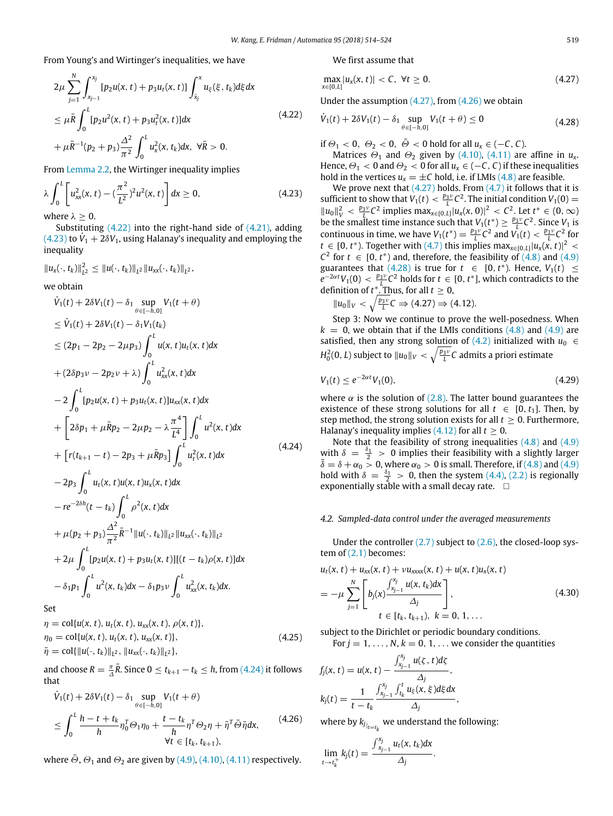From Young's and Wirtinger's inequalities, we have

<span id="page-5-1"></span>
$$
2\mu \sum_{j=1}^{N} \int_{x_{j-1}}^{x_j} [p_2 u(x, t) + p_3 u_t(x, t)] \int_{\bar{x}_j}^{x} u_{\xi}(\xi, t_k) d\xi dx
$$
  
\n
$$
\leq \mu \bar{R} \int_0^L [p_2 u^2(x, t) + p_3 u_t^2(x, t)] dx
$$
  
\n
$$
+ \mu \bar{R}^{-1} (p_2 + p_3) \frac{\Delta^2}{\pi^2} \int_0^L u_x^2(x, t_k) dx, \ \forall \bar{R} > 0.
$$
\n(4.22)

From [Lemma 2.2,](#page-1-6) the Wirtinger inequality implies

<span id="page-5-0"></span>
$$
\lambda \int_0^L \left[ u_{xx}^2(x,t) - \left( \frac{\pi^2}{L^2} \right)^2 u^2(x,t) \right] dx \ge 0, \tag{4.23}
$$

where  $\lambda > 0$ .

Substituting  $(4.22)$  into the right-hand side of  $(4.21)$ , adding  $(4.23)$  to  $\dot{V}_1 + 2\delta V_1$ , using Halanay's inequality and employing the inequality

$$
||u_x(\cdot,t_k)||_{L^2}^2 \leq ||u(\cdot,t_k)||_{L^2} ||u_{xx}(\cdot,t_k)||_{L^2},
$$

we obtain

<span id="page-5-2"></span>
$$
\dot{V}_{1}(t) + 2\delta V_{1}(t) - \delta_{1} \sup_{\theta \in [-h,0]} V_{1}(t + \theta)
$$
\n
$$
\leq \dot{V}_{1}(t) + 2\delta V_{1}(t) - \delta_{1}V_{1}(t_{k})
$$
\n
$$
\leq (2p_{1} - 2p_{2} - 2\mu p_{3}) \int_{0}^{L} u(x, t)u_{t}(x, t)dx
$$
\n
$$
+ (2\delta p_{3}v - 2p_{2}v + \lambda) \int_{0}^{L} u_{xx}^{2}(x, t)dx
$$
\n
$$
- 2 \int_{0}^{L} [p_{2}u(x, t) + p_{3}u_{t}(x, t)]u_{xx}(x, t)dx
$$
\n
$$
+ \left[ 2\delta p_{1} + \mu \bar{R}p_{2} - 2\mu p_{2} - \lambda \frac{\pi^{4}}{L^{4}} \right] \int_{0}^{L} u^{2}(x, t)dx
$$
\n
$$
+ \left[ r(t_{k+1} - t) - 2p_{3} + \mu \bar{R}p_{3} \right] \int_{0}^{L} u_{t}^{2}(x, t)dx
$$
\n
$$
- 2p_{3} \int_{0}^{L} u_{t}(x, t)u(x, t)u_{x}(x, t)dx
$$
\n
$$
- re^{-2\delta h}(t - t_{k}) \int_{0}^{L} \rho^{2}(x, t)dx
$$
\n
$$
+ \mu(p_{2} + p_{3}) \frac{\Delta^{2}}{\pi^{2}} \bar{R}^{-1} ||u(\cdot, t_{k})||_{L^{2}} ||u_{xx}(\cdot, t_{k})||_{L^{2}}
$$
\n
$$
+ 2\mu \int_{0}^{L} [p_{2}u(x, t) + p_{3}u_{t}(x, t)][(t - t_{k})\rho(x, t)]dx
$$
\n
$$
- \delta_{1}p_{1} \int_{0}^{L} u^{2}(x, t_{k})dx - \delta_{1}p_{3}v \int_{0}^{L} u_{xx}^{2}(x, t_{k})dx.
$$

Set

$$
\eta = \text{col}\{u(x, t), u_t(x, t), u_{xx}(x, t), \rho(x, t)\}, \n\eta_0 = \text{col}\{u(x, t), u_t(x, t), u_{xx}(x, t)\}, \n\bar{\eta} = \text{col}\{\|u(\cdot, t_k)\|_{L^2}, \|u_{xx}(\cdot, t_k)\|_{L^2}\},
$$
\n(4.25)

and choose  $R = \frac{\pi}{\Delta} \bar{R}$ . Since  $0 \le t_{k+1} - t_k \le h$ , from [\(4.24\)](#page-5-2) it follows that

<span id="page-5-4"></span>
$$
\dot{V}_1(t) + 2\delta V_1(t) - \delta_1 \sup_{\theta \in [-h,0]} V_1(t + \theta)
$$
\n
$$
\leq \int_0^L \frac{h - t + t_k}{h} \eta_0^T \Theta_1 \eta_0 + \frac{t - t_k}{h} \eta^T \Theta_2 \eta + \bar{\eta}^T \bar{\Theta} \bar{\eta} dx, \qquad (4.26)
$$
\n
$$
\forall t \in [t_k, t_{k+1}),
$$

where  $\Theta$ ,  $\Theta_1$  and  $\Theta_2$  are given by [\(4.9\),](#page-4-3) [\(4.10\),](#page-4-1) [\(4.11\)](#page-4-2) respectively.

We first assume that

<span id="page-5-3"></span>
$$
\max_{x \in [0, L]} |u_x(x, t)| < C, \ \forall t \ge 0. \tag{4.27}
$$

Under the assumption [\(4.27\),](#page-5-3) from [\(4.26\)](#page-5-4) we obtain

<span id="page-5-5"></span>
$$
\dot{V}_1(t) + 2\delta V_1(t) - \delta_1 \sup_{\theta \in [-h,0]} V_1(t + \theta) \le 0
$$
\n(4.28)

if  $\Theta_1 < 0$ ,  $\Theta_2 < 0$ ,  $\overline{\Theta} < 0$  hold for all  $u_x \in (-C, C)$ .

Matrices  $\Theta_1$  and  $\Theta_2$  given by [\(4.10\),](#page-4-1) [\(4.11\)](#page-4-2) are affine in  $u_x$ . Hence,  $\Theta_1 < 0$  and  $\Theta_2 < 0$  for all  $u_x \in (-C, C)$  if these inequalities hold in the vertices  $u_x = \pm C$  hold, i.e. if LMIs [\(4.8\)](#page-3-7) are feasible.

We prove next that  $(4.27)$  holds. From  $(4.7)$  it follows that it is sufficient to show that  $V_1(t) < \frac{p_3 v}{L} C^2$ . The initial condition  $V_1(0)$  =  $||u_0||_V^2 < \frac{p_3v}{L}C^2$  implies  $\max_{x \in [0,L]} |u_x(x,0)|^2 < C^2$ . Let *t*<sup>\*</sup> ∈ (0, ∞) be the smallest time instance such that  $V_1(t^*) \ge \frac{p_3 v}{L} C^2$ . Since  $V_1$  is continuous in time, we have  $V_1(t^*) = \frac{p_3v}{L}C^2$  and  $V_1(t) < \frac{p_3v}{L}C^2$  for *t* ∈ [0, *t*<sup>\*</sup>). Together with [\(4.7\)](#page-3-8) this implies max<sub>*x*∈[0,*L*]</sub> $|u_x(x, t)|^2$  <  $C^2$  for  $t \in [0, t^*)$  and, therefore, the feasibility of  $(4.8)$  and  $(4.9)$ guarantees that [\(4.28\)](#page-5-5) is true for  $t \in [0, t^*$ ). Hence,  $V_1(t) \le$  $e^{-2\alpha t}V_1(0) < \frac{p_3v}{L}C^2$  holds for  $t \in [0, t^*]$ , which contradicts to the definition of  $t^*$ . Thus, for all  $t \geq 0$ ,

$$
||u_0||_V < \sqrt{\frac{p_3v}{L}}C \Rightarrow (4.27) \Rightarrow (4.12).
$$

Step 3: Now we continue to prove the well-posedness. When  $k = 0$ , we obtain that if the LMIs conditions  $(4.8)$  and  $(4.9)$  are satisfied, then any strong solution of  $(4.2)$  initialized with  $u_0 \in$  $H_0^2(0,L)$  subject to  $\|u_0\|_V<\sqrt{\frac{p_3\nu}{L}}C$  admits a priori estimate

<span id="page-5-7"></span>
$$
V_1(t) \le e^{-2\alpha t} V_1(0), \tag{4.29}
$$

where  $\alpha$  is the solution of [\(2.8\).](#page-1-11) The latter bound guarantees the existence of these strong solutions for all  $t \in [0, t_1]$ . Then, by step method, the strong solution exists for all  $t \geq 0$ . Furthermore, Halanay's inequality implies  $(4.12)$  for all  $t \ge 0$ .

Note that the feasibility of strong inequalities  $(4.8)$  and  $(4.9)$ with  $\delta = \frac{\delta_1}{2} > 0$  implies their feasibility with a slightly larger  $\bar{\delta} = \delta + \alpha_0 > 0$ , where  $\alpha_0 > 0$  is small. Therefore, if [\(4.8\)](#page-3-7) and [\(4.9\)](#page-4-3) hold with  $\delta = \frac{\delta_1}{2} > 0$ , then the system [\(4.4\),](#page-3-5) [\(2.2\)](#page-1-8) is regionally exponentially stable with a small decay rate.  $\square$ 

## *4.2. Sampled-data control under the averaged measurements*

Under the controller [\(2.7\)](#page-1-10) subject to [\(2.6\),](#page-1-4) the closed-loop system of  $(2.1)$  becomes:

<span id="page-5-6"></span>
$$
u_t(x, t) + u_{xx}(x, t) + \nu u_{xxx}(x, t) + u(x, t)u_x(x, t)
$$
  
= 
$$
-\mu \sum_{j=1}^N \left[ b_j(x) \frac{\int_{x_{j-1}}^{x_j} u(x, t_k) dx}{\Delta_j} \right],
$$
  

$$
t \in [t_k, t_{k+1}), k = 0, 1, ...
$$
 (4.30)

subject to the Dirichlet or periodic boundary conditions.

For  $j = 1, \ldots, N$ ,  $k = 0, 1, \ldots$  we consider the quantities

$$
f_j(x, t) = u(x, t) - \frac{\int_{x_{j-1}}^{x_j} u(\zeta, t) d\zeta}{\Delta_j},
$$
  

$$
k_j(t) = \frac{1}{t - t_k} \frac{\int_{x_{j-1}}^{x_j} \int_{t_k}^{t} u_{\xi}(x, \xi) d\xi dx}{\Delta_j},
$$

where by  $k_{j}|_{t=t_k}$  we understand the following:

$$
\lim_{t\to t_k^+}k_j(t)=\frac{\int_{x_{j-1}}^{x_j}u_t(x,t_k)dx}{\Delta_j}.
$$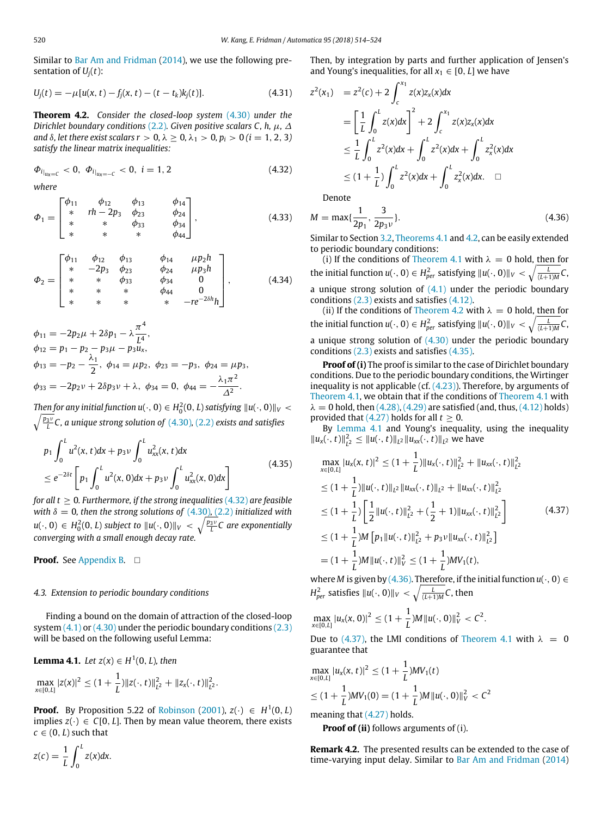Similar to [Bar Am](#page-10-11) [and](#page-10-11) [Fridman](#page-10-11) [\(2014\)](#page-10-11), we use the following presentation of  $U_i(t)$ :

<span id="page-6-6"></span>
$$
U_j(t) = -\mu[u(x, t) - f_j(x, t) - (t - t_k)k_j(t)].
$$
\n(4.31)

<span id="page-6-1"></span>**Theorem 4.2.** *Consider the closed-loop system* [\(4.30\)](#page-5-6) *under the Dirichlet boundary conditions* [\(2.2\)](#page-1-8)*. Given positive scalars C, h,* µ*,* ∆ *and*  $\delta$ *, let there exist scalars*  $r > 0$ *,*  $\lambda \geq 0$ *,*  $\lambda_1 > 0$ *,*  $p_i > 0$  *(* $i = 1, 2, 3$ *) satisfy the linear matrix inequalities:*

<span id="page-6-0"></span>
$$
\Phi_{i}|_{u_x = C} < 0, \ \Phi_{i}|_{u_x = -C} < 0, \ i = 1, 2 \tag{4.32}
$$

*where*

<span id="page-6-7"></span>
$$
\Phi_1 = \begin{bmatrix} \phi_{11} & \phi_{12} & \phi_{13} & \phi_{14} \\ * & rh - 2p_3 & \phi_{23} & \phi_{24} \\ * & * & \phi_{33} & \phi_{34} \\ * & * & * & \phi_{44} \end{bmatrix}, \qquad (4.33)
$$

<span id="page-6-8"></span>
$$
\Phi_2 = \begin{bmatrix}\n\phi_{11} & \phi_{12} & \phi_{13} & \phi_{14} & \mu p_2 h \\
\ast & -2p_3 & \phi_{23} & \phi_{24} & \mu p_3 h \\
\ast & \ast & \phi_{33} & \phi_{34} & 0 \\
\ast & \ast & \ast & \phi_{44} & 0 \\
\ast & \ast & \ast & \ast & -re^{-2\delta h}h\n\end{bmatrix},
$$
\n(4.34)

$$
\phi_{11} = -2p_2\mu + 2\delta p_1 - \lambda \frac{\pi^4}{L^4},
$$
  
\n
$$
\phi_{12} = p_1 - p_2 - p_3\mu - p_3u_x,
$$
  
\n
$$
\phi_{13} = -p_2 - \frac{\lambda_1}{2}, \ \phi_{14} = \mu p_2, \ \phi_{23} = -p_3, \ \phi_{24} = \mu p_3,
$$
  
\n
$$
\phi_{33} = -2p_2\nu + 2\delta p_3\nu + \lambda, \ \phi_{34} = 0, \ \phi_{44} = -\frac{\lambda_1\pi^2}{\Delta^2}.
$$

 $\mathcal{F}$  *Then for any initial function u*( $\cdot$  , 0)  $\in H^2_0(0,L)$  *satisfying*  $\|u(\cdot,0)\|_V < \infty$ *p*<sub>1</sub><sup>*p*<sub>3</sub>*v*</sup> *C, a unique strong solution of [\(4.30\)](#page-5-6), [\(2.2\)](#page-1-8) <i>exists and satisfies* 

<span id="page-6-2"></span>
$$
p_1 \int_0^L u^2(x, t) dx + p_3 \nu \int_0^L u_{xx}^2(x, t) dx
$$
  
\n
$$
\leq e^{-2\delta t} \left[ p_1 \int_0^L u^2(x, 0) dx + p_3 \nu \int_0^L u_{xx}^2(x, 0) dx \right]
$$
\n(4.35)

*for all t* ≥ 0*. Furthermore, if the strong inequalities* [\(4.32\)](#page-6-0) *are feasible with*  $\delta = 0$ *, then the strong solutions of* [\(4.30\)](#page-5-6)*,* (2.2*) initialized with*  $u(\cdot,0)\,\in\, H^2_0(0,L)$  subject to  $\|u(\cdot,0)\|_V\,<\,\sqrt{\frac{p_3v}{L}}\textsf{C}$  are exponentially *converging with a small enough decay rate.*

**Proof.** See [Appendix B.](#page-9-0) □

# *4.3. Extension to periodic boundary conditions*

Finding a bound on the domain of attraction of the closed-loop system  $(4.1)$  or  $(4.30)$  under the periodic boundary conditions  $(2.3)$ will be based on the following useful Lemma:

<span id="page-6-3"></span>**Lemma 4.1.** Let 
$$
z(x) \in H^1(0, L)
$$
, then  
\n
$$
\max_{x \in [0, L]} |z(x)|^2 \le (1 + \frac{1}{L}) ||z(\cdot, t)||_{L^2}^2 + ||z_x(\cdot, t)||_{L^2}^2
$$

**Proof.** By Proposition 5.22 of [Robinson](#page-10-30) [\(2001\)](#page-10-30),  $z(\cdot) \in H^1(0, L)$ implies  $z(\cdot) \in C[0, L]$ . Then by mean value theorem, there exists  $c \in (0, L)$  such that

.

$$
z(c) = \frac{1}{L} \int_0^L z(x) dx.
$$

Then, by integration by parts and further application of Jensen's and Young's inequalities, for all  $x_1 \in [0, L]$  we have

$$
z^{2}(x_{1}) = z^{2}(c) + 2 \int_{c}^{x_{1}} z(x)z_{x}(x)dx
$$
  
\n
$$
= \left[\frac{1}{L} \int_{0}^{L} z(x)dx\right]^{2} + 2 \int_{c}^{x_{1}} z(x)z_{x}(x)dx
$$
  
\n
$$
\leq \frac{1}{L} \int_{0}^{L} z^{2}(x)dx + \int_{0}^{L} z^{2}(x)dx + \int_{0}^{L} z_{x}^{2}(x)dx
$$
  
\n
$$
\leq (1 + \frac{1}{L}) \int_{0}^{L} z^{2}(x)dx + \int_{0}^{L} z_{x}^{2}(x)dx. \quad \Box
$$

Denote

<span id="page-6-4"></span>
$$
M = \max\{\frac{1}{2p_1}, \frac{3}{2p_3\nu}\}.
$$
 (4.36)

Similar to Section [3.2,](#page-2-11) [Theorems 4.1](#page-3-4) and [4.2,](#page-6-1) can be easily extended to periodic boundary conditions:

(i) If the conditions of [Theorem 4.1](#page-3-4) with  $\lambda = 0$  hold, then for the initial function  $u(\cdot, 0) \in H_{per}^2$  satisfying  $||u(\cdot, 0)||_V < \sqrt{\frac{L}{(L+1)M}}C$ , a unique strong solution of  $(4.1)$  under the periodic boundary conditions [\(2.3\)](#page-1-9) exists and satisfies [\(4.12\).](#page-4-11)

(ii) If the conditions of [Theorem 4.2](#page-6-1) with  $\lambda = 0$  hold, then for the initial function  $u(\cdot, 0) \in H_{per}^2$  satisfying  $||u(\cdot, 0)||_V < \sqrt{\frac{L}{(L+1)M}}C$ , a unique strong solution of  $(4.30)$  under the periodic boundary conditions [\(2.3\)](#page-1-9) exists and satisfies [\(4.35\).](#page-6-2)

**Proof of (i)** The proof is similar to the case of Dirichlet boundary conditions. Due to the periodic boundary conditions, the Wirtinger inequality is not applicable (cf.  $(4.23)$ ). Therefore, by arguments of [Theorem 4.1,](#page-3-4) we obtain that if the conditions of [Theorem 4.1](#page-3-4) with  $\lambda = 0$  hold, then [\(4.28\),](#page-5-5) [\(4.29\)](#page-5-7) are satisfied (and, thus, [\(4.12\)](#page-4-11) holds) provided that  $(4.27)$  holds for all  $t \geq 0$ .

By [Lemma 4.1](#page-6-3) and Young's inequality, using the inequality  $||u_x(\cdot, t)||_{L^2}^2$  ≤  $||u(\cdot, t)||_{L^2}$   $||u_{xx}(\cdot, t)||_{L^2}$  we have

<span id="page-6-5"></span>
$$
\max_{x \in [0,L]} |u_x(x,t)|^2 \le (1 + \frac{1}{L}) ||u_x(\cdot,t)||_{L^2}^2 + ||u_{xx}(\cdot,t)||_{L^2}^2
$$
\n
$$
\le (1 + \frac{1}{L}) ||u(\cdot,t)||_{L^2} ||u_{xx}(\cdot,t)||_{L^2} + ||u_{xx}(\cdot,t)||_{L^2}^2
$$
\n
$$
\le (1 + \frac{1}{L}) \left[ \frac{1}{2} ||u(\cdot,t)||_{L^2}^2 + (\frac{1}{2} + 1) ||u_{xx}(\cdot,t)||_{L^2}^2 \right]
$$
\n
$$
\le (1 + \frac{1}{L}) M [p_1 ||u(\cdot,t)||_{L^2}^2 + p_3 v ||u_{xx}(\cdot,t)||_{L^2}^2]
$$
\n
$$
= (1 + \frac{1}{L}) M ||u(\cdot,t)||_V^2 \le (1 + \frac{1}{L}) M V_1(t),
$$
\n(4.37)

where *M* is given by [\(4.36\).](#page-6-4) Therefore, if the initial function  $u(\cdot, 0) \in$  $H_{per}^2$  satisfies  $\|u(\cdot,0)\|_V<\sqrt{\frac{L}{(L+1)M}}C$ , then

$$
\max_{x\in[0,L]}|u_x(x,0)|^2\leq(1+\frac{1}{L})M||u(\cdot,0)||_V^2
$$

Due to [\(4.37\),](#page-6-5) the LMI conditions of [Theorem 4.1](#page-3-4) with  $\lambda = 0$ guarantee that

$$
\max_{x \in [0,L]} |u_x(x,t)|^2 \le (1 + \frac{1}{L})MV_1(t)
$$
  
\n
$$
\le (1 + \frac{1}{L})MV_1(0) = (1 + \frac{1}{L})M||u(\cdot, 0)||_V^2 < C^2
$$

meaning that [\(4.27\)](#page-5-3) holds.

**Proof of (ii)** follows arguments of (i).

**Remark 4.2.** The presented results can be extended to the case of time-varying input delay. Similar to [Bar Am](#page-10-11) [and](#page-10-11) [Fridman](#page-10-11) [\(2014\)](#page-10-11)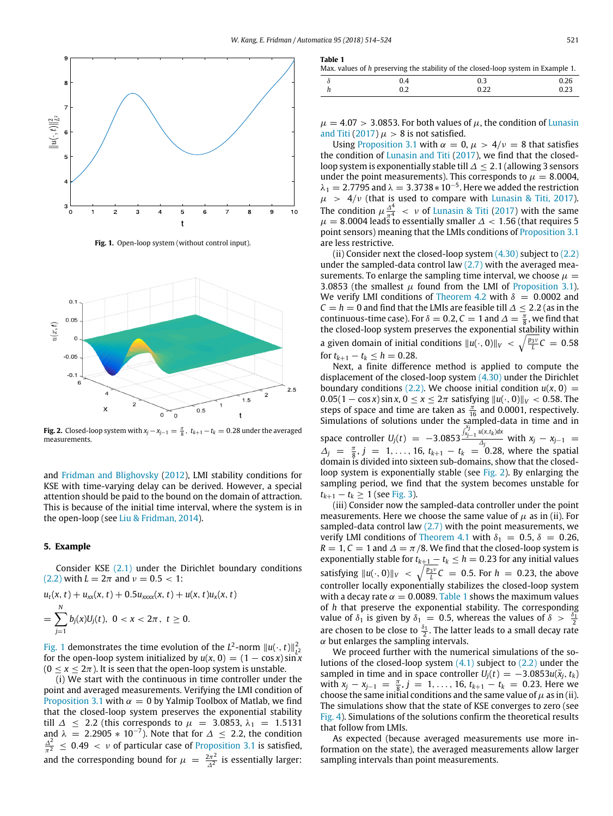<span id="page-7-4"></span>**Table 1**

<span id="page-7-2"></span>

**Fig. 1.** Open-loop system (without control input).

<span id="page-7-3"></span>

**Fig. 2.** Closed-loop system with  $x_j - x_{j-1} = \frac{\pi}{8}$ ,  $t_{k+1} - t_k = 0.28$  under the averaged measurements.

and [Fridman](#page-10-13) [and](#page-10-13) [Blighovsky](#page-10-13) [\(2012\)](#page-10-13), LMI stability conditions for KSE with time-varying delay can be derived. However, a special attention should be paid to the bound on the domain of attraction. This is because of the initial time interval, where the system is in the open-loop (see [Liu](#page-10-31) [&](#page-10-31) [Fridman,](#page-10-31) [2014\)](#page-10-31).

### <span id="page-7-0"></span>**5. Example**

Consider KSE [\(2.1\)](#page-1-2) under the Dirichlet boundary conditions [\(2.2\)](#page-1-8) with  $L = 2\pi$  and  $\nu = 0.5 < 1$ :

$$
u_t(x, t) + u_{xx}(x, t) + 0.5u_{xxxx}(x, t) + u(x, t)u_x(x, t)
$$
  
= 
$$
\sum_{j=1}^{N} b_j(x)U_j(t), \ 0 < x < 2\pi, \ t \geq 0.
$$

[Fig. 1](#page-7-2) demonstrates the time evolution of the  $L^2$ -norm  $||u(\cdot, t)||_{L^2}^2$ for the open-loop system initialized by  $u(x, 0) = (1 - \cos x) \sin x$  $(0 < x < 2\pi)$ . It is seen that the open-loop system is unstable.

(i) We start with the continuous in time controller under the point and averaged measurements. Verifying the LMI condition of [Proposition 3.1](#page-2-7) with  $\alpha = 0$  by Yalmip Toolbox of Matlab, we find that the closed-loop system preserves the exponential stability till  $\Delta \leq 2.2$  (this corresponds to  $\mu = 3.0853$ ,  $\lambda_1 = 1.5131$ and  $\lambda = 2.2905 * 10^{-7}$ ). Note that for  $\Delta \leq 2.2$ , the condition  $\frac{\Delta^2}{\pi^2} \leq 0.49 < v$  of particular case of [Proposition 3.1](#page-2-7) is satisfied, and the corresponding bound for  $\mu = \frac{2\pi^2}{\lambda^2}$  $\frac{2\pi^2}{\Delta^2}$  is essentially larger:

| Max, values of h preserving the stability of the closed-loop system in Example 1. |     |      |      |
|-----------------------------------------------------------------------------------|-----|------|------|
|                                                                                   | 04  | 03   | 0.26 |
|                                                                                   | 0.2 | 0.22 | 0.23 |

 $\mu = 4.07 > 3.0853$ . For both values of  $\mu$ , the condition of [Lunasin](#page-10-4) [and](#page-10-4) [Titi](#page-10-4) [\(2017\)](#page-10-4)  $\mu > 8$  is not satisfied.

Using [Proposition 3.1](#page-2-7) with  $\alpha = 0$ ,  $\mu > 4/\nu = 8$  that satisfies the condition of [Lunasin](#page-10-4) [and](#page-10-4) [Titi](#page-10-4) [\(2017\)](#page-10-4), we find that the closedloop system is exponentially stable till ∆ ≤ 2.1 (allowing 3 sensors under the point measurements). This corresponds to  $\mu = 8.0004$ ,  $\lambda_1 = 2.7795$  and  $\lambda = 3.3738 * 10^{-5}$ . Here we added the restriction  $\mu$  > 4/*v* (that is used to compare with [Lunasin](#page-10-4) [&](#page-10-4) [Titi,](#page-10-4) [2017\)](#page-10-4). The condition  $\mu \frac{\Delta^4}{\pi^4} < \nu$  of [Lunasin](#page-10-4) [&](#page-10-4) [Titi](#page-10-4) [\(2017\)](#page-10-4) with the same  $\mu = 8.0004$  leads to essentially smaller  $\Delta < 1.56$  (that requires 5 point sensors) meaning that the LMIs conditions of [Proposition 3.1](#page-2-7) are less restrictive.

(ii) Consider next the closed-loop system  $(4.30)$  subject to  $(2.2)$ under the sampled-data control law  $(2.7)$  with the averaged measurements. To enlarge the sampling time interval, we choose  $\mu =$ 3.0853 (the smallest  $\mu$  found from the LMI of [Proposition 3.1\)](#page-2-7). We verify LMI conditions of [Theorem 4.2](#page-6-1) with  $\delta = 0.0002$  and  $C = h = 0$  and find that the LMIs are feasible till  $\Delta \leq 2.2$  (as in the continuous-time case). For  $\delta = 0.2$ ,  $C = 1$  and  $\Delta = \frac{\pi}{8}$ , we find that the closed-loop system preserves the exponential stability within a given domain of initial conditions  $||u(\cdot, 0)||_V < \sqrt{\frac{p_{3\nu}}{L}}C = 0.58$ for  $t_{k+1} - t_k \leq h = 0.28$ .

Next, a finite difference method is applied to compute the displacement of the closed-loop system [\(4.30\)](#page-5-6) under the Dirichlet boundary conditions [\(2.2\).](#page-1-8) We choose initial condition  $u(x, 0) =$ 0.05(1 − cos *x*) sin *x*, 0 ≤ *x* ≤ 2π satisfying  $||u(·, 0)||_V$  < 0.58. The steps of space and time are taken as  $\frac{\pi}{16}$  and 0.0001, respectively. Simulations of solutions under the sampled-data in time and in space controller  $U_j(t) = -3.0853$ ∫ *xj xj*−1 *u*(*x*,*t<sup>k</sup>* )*dx*  $\frac{\Delta_{j}}{\Delta_{j}}$  with  $x_{j} - x_{j-1} =$  $\Delta_j = \frac{\pi}{8}, j = 1, ..., 16, t_{k+1} - t_k = 0.28$ , where the spatial domain is divided into sixteen sub-domains, show that the closedloop system is exponentially stable (see [Fig. 2\)](#page-7-3). By enlarging the sampling period, we find that the system becomes unstable for  $t_{k+1} - t_k \ge 1$  (see [Fig. 3\)](#page-8-1).

(iii) Consider now the sampled-data controller under the point measurements. Here we choose the same value of  $\mu$  as in (ii). For sampled-data control law  $(2.7)$  with the point measurements, we verify LMI conditions of [Theorem 4.1](#page-3-4) with  $\delta_1 = 0.5$ ,  $\delta = 0.26$ ,  $R = 1, C = 1$  and  $\Delta = \pi/8$ . We find that the closed-loop system is exponentially stable for  $t_{k+1} - t_k \leq h = 0.23$  for any initial values satisfying  $||u(·, 0)||_V$  <  $\sqrt{\frac{p_3 v}{L}}C$  = 0.5. For *h* = 0.23, the above controller locally exponentially stabilizes the closed-loop system with a decay rate  $\alpha = 0.0089$ . [Table 1](#page-7-4) shows the maximum values of *h* that preserve the exponential stability. The corresponding value of  $\delta_1$  is given by  $\delta_1 = 0.5$ , whereas the values of  $\delta > \frac{\delta_1}{2}$ are chosen to be close to  $\frac{\delta_1}{2}$ . The latter leads to a small decay rate  $\alpha$  but enlarges the sampling intervals.

We proceed further with the numerical simulations of the solutions of the closed-loop system  $(4.1)$  subject to  $(2.2)$  under the sampled in time and in space controller  $U_i(t) = -3.0853u(\bar{x}_i, t_k)$ with  $x_j - x_{j-1} = \frac{\pi}{8}, j = 1, ..., 16, t_{k+1} - t_k = 0.23$ . Here we choose the same initial conditions and the same value of  $\mu$  as in (ii). The simulations show that the state of KSE converges to zero (see [Fig. 4\)](#page-8-2). Simulations of the solutions confirm the theoretical results that follow from LMIs.

<span id="page-7-1"></span>As expected (because averaged measurements use more information on the state), the averaged measurements allow larger sampling intervals than point measurements.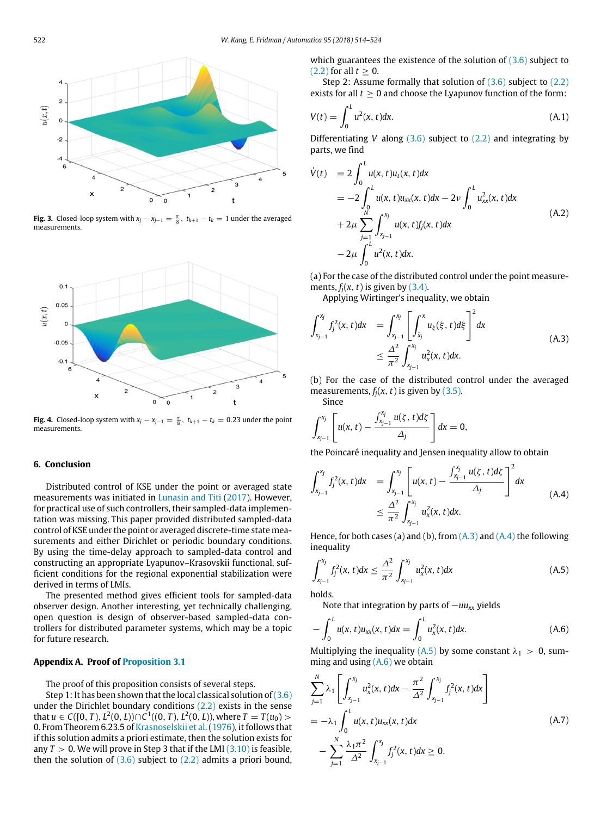<span id="page-8-1"></span>

**Fig. 3.** Closed-loop system with  $x_j - x_{j-1} = \frac{\pi}{8}$ ,  $t_{k+1} - t_k = 1$  under the averaged measurements.

<span id="page-8-2"></span>

**Fig. 4.** Closed-loop system with  $x_j - x_{j-1} = \frac{\pi}{8}$ ,  $t_{k+1} - t_k = 0.23$  under the point measurements.

# **6. Conclusion**

Distributed control of KSE under the point or averaged state measurements was initiated in [Lunasin](#page-10-4) [and](#page-10-4) [Titi](#page-10-4) [\(2017\)](#page-10-4). However, for practical use of such controllers, their sampled-data implementation was missing. This paper provided distributed sampled-data control of KSE under the point or averaged discrete-time state measurements and either Dirichlet or periodic boundary conditions. By using the time-delay approach to sampled-data control and constructing an appropriate Lyapunov–Krasovskii functional, sufficient conditions for the regional exponential stabilization were derived in terms of LMIs.

The presented method gives efficient tools for sampled-data observer design. Another interesting, yet technically challenging, open question is design of observer-based sampled-data controllers for distributed parameter systems, which may be a topic for future research.

# <span id="page-8-0"></span>**Appendix A. Proof of [Proposition 3.1](#page-2-7)**

The proof of this proposition consists of several steps.

Step 1: It has been shown that the local classical solution of  $(3.6)$ under the Dirichlet boundary conditions [\(2.2\)](#page-1-8) exists in the sense that *u* ∈ *C*([0, *T*), *L*<sup>2</sup>(0, *L*))∩*C*<sup>1</sup>((0, *T*), *L*<sup>2</sup>(0, *L*)), where *T* = *T*(*u*<sub>0</sub>) > 0. From Theorem 6.23.5 of [Krasnoselskii](#page-10-25) [et](#page-10-25) [al.](#page-10-25) [\(1976\)](#page-10-25), it follows that if this solution admits a priori estimate, then the solution exists for any  $T > 0$ . We will prove in Step 3 that if the LMI  $(3.10)$  is feasible, then the solution of  $(3.6)$  subject to  $(2.2)$  admits a priori bound, which guarantees the existence of the solution of [\(3.6\)](#page-2-3) subject to  $(2.2)$  for all  $t > 0$ .

Step 2: Assume formally that solution of  $(3.6)$  subject to  $(2.2)$ exists for all  $t \geq 0$  and choose the Lyapunov function of the form:

$$
V(t) = \int_0^L u^2(x, t) dx.
$$
 (A.1)

Differentiating *V* along [\(3.6\)](#page-2-3) subject to [\(2.2\)](#page-1-8) and integrating by parts, we find

$$
\dot{V}(t) = 2 \int_0^L u(x, t) u_t(x, t) dx
$$
  
= -2 \int\_0^L u(x, t) u\_{xx}(x, t) dx - 2\nu \int\_0^L u\_{xx}^2(x, t) dx  
+ 2\mu \sum\_{j=1}^N \int\_{x\_{j-1}}^{x\_j} u(x, t) f\_j(x, t) dx  
- 2\mu \int\_0^L u^2(x, t) dx. \tag{A.2}

(a) For the case of the distributed control under the point measurements,  $f_i(x, t)$  is given by  $(3.4)$ .

Applying Wirtinger's inequality, we obtain

<span id="page-8-3"></span>
$$
\int_{x_{j-1}}^{x_j} f_j^2(x, t) dx = \int_{x_{j-1}}^{x_j} \left[ \int_{\bar{x}_j}^{x} u_{\xi}(\xi, t) d\xi \right]^2 dx
$$
\n
$$
\leq \frac{\Delta^2}{\pi^2} \int_{x_{j-1}}^{x_j} u_x^2(x, t) dx.
$$
\n(A.3)

(b) For the case of the distributed control under the averaged measurements,  $f_i(x, t)$  is given by  $(3.5)$ . Since

$$
\int_{x_{j-1}}^{x_j} \left[ u(x,t) - \frac{\int_{x_{j-1}}^{x_j} u(\zeta,t) d\zeta}{\Delta_j} \right] dx = 0,
$$

the Poincaré inequality and Jensen inequality allow to obtain

<span id="page-8-4"></span>
$$
\int_{x_{j-1}}^{x_j} f_j^2(x, t) dx = \int_{x_{j-1}}^{x_j} \left[ u(x, t) - \frac{\int_{x_{j-1}}^{x_j} u(\zeta, t) d\zeta}{\Delta_j} \right]^2 dx
$$
\n
$$
\leq \frac{\Delta^2}{\pi^2} \int_{x_{j-1}}^{x_j} u_x^2(x, t) dx.
$$
\n(A.4)

Hence, for both cases (a) and (b), from  $(A.3)$  and  $(A.4)$  the following inequality

<span id="page-8-5"></span>
$$
\int_{x_{j-1}}^{x_j} f_j^2(x, t) dx \le \frac{\Delta^2}{\pi^2} \int_{x_{j-1}}^{x_j} u_x^2(x, t) dx
$$
\n(A.5)

holds.

Note that integration by parts of −*uuxx* yields

<span id="page-8-6"></span>
$$
-\int_0^L u(x,t)u_{xx}(x,t)dx = \int_0^L u_x^2(x,t)dx.
$$
 (A.6)

Multiplying the inequality [\(A.5\)](#page-8-5) by some constant  $\lambda_1 > 0$ , summing and using [\(A.6\)](#page-8-6) we obtain

<span id="page-8-7"></span>
$$
\sum_{j=1}^{N} \lambda_1 \left[ \int_{x_{j-1}}^{x_j} u_x^2(x, t) dx - \frac{\pi^2}{\Delta^2} \int_{x_{j-1}}^{x_j} f_j^2(x, t) dx \right]
$$
  
=  $-\lambda_1 \int_0^L u(x, t) u_{xx}(x, t) dx$   
-  $\sum_{j=1}^{N} \frac{\lambda_1 \pi^2}{\Delta^2} \int_{x_{j-1}}^{x_j} f_j^2(x, t) dx \ge 0.$  (A.7)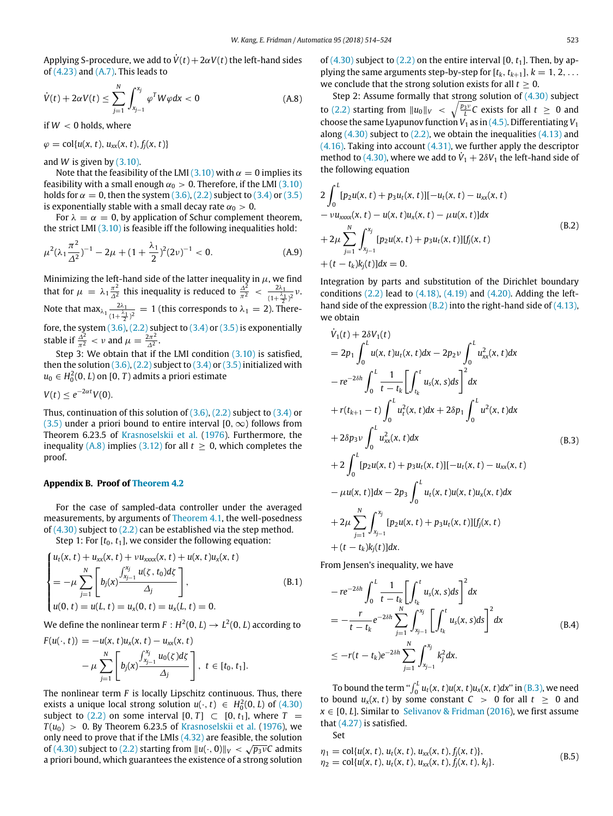Applying S-procedure, we add to  $\dot{V}(t) + 2\alpha V(t)$  the left-hand sides of  $(4.23)$  and  $(A.7)$ . This leads to

<span id="page-9-1"></span>
$$
\dot{V}(t) + 2\alpha V(t) \le \sum_{j=1}^{N} \int_{x_{j-1}}^{x_j} \varphi^T W \varphi dx < 0
$$
\n(A.8)

if  $W < 0$  holds, where

$$
\varphi = \text{col}\{u(x, t), u_{xx}(x, t), f_j(x, t)\}
$$

and *W* is given by  $(3.10)$ .

Note that the feasibility of the LMI [\(3.10\)](#page-2-6) with  $\alpha = 0$  implies its feasibility with a small enough  $\alpha_0 > 0$ . Therefore, if the LMI [\(3.10\)](#page-2-6) holds for  $\alpha = 0$ , then the system [\(3.6\),](#page-2-3) [\(2.2\)](#page-1-8) subject to [\(3.4\)](#page-2-4) or [\(3.5\)](#page-2-5) is exponentially stable with a small decay rate  $\alpha_0 > 0$ .

For  $\lambda = \alpha = 0$ , by application of Schur complement theorem, the strict LMI [\(3.10\)](#page-2-6) is feasible iff the following inequalities hold:

$$
\mu^2(\lambda_1 \frac{\pi^2}{\Delta^2})^{-1} - 2\mu + (1 + \frac{\lambda_1}{2})^2 (2\nu)^{-1} < 0. \tag{A.9}
$$

Minimizing the left-hand side of the latter inequality in  $\mu$ , we find that for  $\mu = \lambda_1 \frac{\pi^2}{\Delta^2}$  $\frac{\pi^2}{\Delta^2}$  this inequality is reduced to  $\frac{\Delta^2}{\pi^2} < \frac{2\lambda_1}{(1+\frac{\lambda_2}{\lambda_1})^2}$  $\frac{2\lambda_1}{(1+\frac{\lambda_1}{2})^2}$   $\nu$ . Note that max<sub> $\lambda_1 \frac{2\lambda_1}{(1+\lambda_1)^2} = 1$  (this corresponds to  $\lambda_1 = 2$ ). Then</sub>  $\frac{2\lambda_1}{(1+\frac{\lambda_1}{2})^2} = 1$  (this corresponds to  $\lambda_1 = 2$ ). Therefore, the system  $(3.6)$ ,  $(2.2)$  subject to  $(3.4)$  or  $(3.5)$  is exponentially stable if  $\frac{\Delta^2}{\pi^2} < v$  and  $\mu = \frac{2\pi^2}{\Delta^2}$  $\frac{2\pi}{\Delta^2}$ .

Step 3: We obtain that if the LMI condition [\(3.10\)](#page-2-6) is satisfied, then the solution  $(3.6)$ ,  $(2.2)$  subject to  $(3.4)$  or  $(3.5)$  initialized with  $u_0 \in H_0^2(0,L)$  on  $[0,T)$  admits a priori estimate

$$
V(t) \leq e^{-2\alpha t} V(0).
$$

Thus, continuation of this solution of  $(3.6)$ ,  $(2.2)$  subject to  $(3.4)$  or [\(3.5\)](#page-2-5) under a priori bound to entire interval [0,  $\infty$ ) follows from Theorem 6.23.5 of [Krasnoselskii](#page-10-25) [et](#page-10-25) [al.](#page-10-25) [\(1976\)](#page-10-25). Furthermore, the inequality  $(A.8)$  implies  $(3.12)$  for all  $t \ge 0$ , which completes the proof.

#### <span id="page-9-0"></span>**Appendix B. Proof of [Theorem 4.2](#page-6-1)**

For the case of sampled-data controller under the averaged measurements, by arguments of [Theorem 4.1,](#page-3-4) the well-posedness of [\(4.30\)](#page-5-6) subject to [\(2.2\)](#page-1-8) can be established via the step method.

Step 1: For  $[t_0, t_1]$ , we consider the following equation:

$$
\begin{cases}\n u_t(x, t) + u_{xx}(x, t) + \nu u_{xxxx}(x, t) + u(x, t)u_x(x, t) \\
= -\mu \sum_{j=1}^N \left[ b_j(x) \frac{\int_{x_{j-1}}^{x_j} u(\zeta, t_0) d\zeta}{\Delta_j} \right], & (B.1) \\
 u(0, t) = u(L, t) = u_x(0, t) = u_x(L, t) = 0.\n\end{cases}
$$

We define the nonlinear term  $F: H^2(0,L) \to L^2(0,L)$  according to

$$
F(u(\cdot, t)) = -u(x, t)u_x(x, t) - u_{xx}(x, t) - \mu \sum_{j=1}^N \left[ b_j(x) \frac{\int_{x_{j-1}}^{x_j} u_0(\zeta) d\zeta}{\Delta_j} \right], \ t \in [t_0, t_1].
$$

The nonlinear term *F* is locally Lipschitz continuous. Thus, there exists a unique local strong solution  $u(\cdot, t) \in H_0^2(0, L)$  of  $(4.30)$ subject to [\(2.2\)](#page-1-8) on some interval [0, *T*]  $\subset$  [0, *t*<sub>1</sub>], where *T* =  $T(u_0) > 0$ . By Theorem 6.23.5 of [Krasnoselskii](#page-10-25) [et](#page-10-25) [al.](#page-10-25) [\(1976\)](#page-10-25), we only need to prove that if the LMIs  $(4.32)$  are feasible, the solution of [\(4.30\)](#page-5-6) subject to [\(2.2\)](#page-1-8) starting from  $||u(\cdot, 0)||_V < \sqrt{p_3 \nu}$ C admits a priori bound, which guarantees the existence of a strong solution of  $(4.30)$  subject to  $(2.2)$  on the entire interval  $[0, t<sub>1</sub>]$ . Then, by applying the same arguments step-by-step for  $[t_k, t_{k+1}], k = 1, 2, \ldots$ we conclude that the strong solution exists for all *t* ≥ 0.

Step 2: Assume formally that strong solution of  $(4.30)$  subject to [\(2.2\)](#page-1-8) starting from  $||u_0||_V$  <  $\sqrt{\frac{p_3v}{L}}C$  exists for all  $t \ge 0$  and choose the same Lyapunov function  $V_1$  as in [\(4.5\).](#page-3-6) Differentiating  $V_1$ along  $(4.30)$  subject to  $(2.2)$ , we obtain the inequalities  $(4.13)$  and  $(4.16)$ . Taking into account  $(4.31)$ , we further apply the descriptor method to [\(4.30\),](#page-5-6) where we add to  $\dot{V}_1 + 2\delta V_1$  the left-hand side of the following equation

<span id="page-9-2"></span>
$$
2\int_{0}^{L} [p_2u(x, t) + p_3u_t(x, t)][-u_t(x, t) - u_{xx}(x, t) -\nu u_{xxx}(x, t) -\nu u_{xxxx}(x, t) - u(x, t)u_x(x, t) - \mu u(x, t)]dx
$$
  
+2\mu 
$$
\sum_{j=1}^{N} \int_{x_{j-1}}^{x_j} [p_2u(x, t) + p_3u_t(x, t)][f_j(x, t) + (t - t_k)k_j(t)]dx = 0.
$$
 (B.2)

Integration by parts and substitution of the Dirichlet boundary conditions  $(2.2)$  lead to  $(4.18)$ ,  $(4.19)$  and  $(4.20)$ . Adding the lefthand side of the expression  $(B.2)$  into the right-hand side of  $(4.13)$ , we obtain

<span id="page-9-3"></span>
$$
\dot{V}_{1}(t) + 2\delta V_{1}(t) \n= 2p_{1} \int_{0}^{L} u(x, t)u_{t}(x, t)dx - 2p_{2}v \int_{0}^{L} u_{xx}^{2}(x, t)dx \n- re^{-2\delta h} \int_{0}^{L} \frac{1}{t - t_{k}} \left[ \int_{t_{k}}^{t} u_{s}(x, s)ds \right]^{2} dx \n+ r(t_{k+1} - t) \int_{0}^{L} u_{t}^{2}(x, t)dx + 2\delta p_{1} \int_{0}^{L} u^{2}(x, t)dx \n+ 2\delta p_{3}v \int_{0}^{L} u_{xx}^{2}(x, t)dx
$$
\n(B.3)  
\n
$$
+ 2 \int_{0}^{L} [p_{2}u(x, t) + p_{3}u_{t}(x, t)][-u_{t}(x, t) - u_{xx}(x, t) - \mu u(x, t)]dx - 2p_{3} \int_{0}^{L} u_{t}(x, t)u(x, t)u_{x}(x, t)dx \n+ 2\mu \sum_{j=1}^{N} \int_{x_{j-1}}^{x_{j}} [p_{2}u(x, t) + p_{3}u_{t}(x, t)][f_{j}(x, t) + (t - t_{k})k_{j}(t)]dx.
$$

From Jensen's inequality, we have

<span id="page-9-4"></span>
$$
-re^{-2\delta h} \int_0^L \frac{1}{t - t_k} \left[ \int_{t_k}^t u_s(x, s) ds \right]^2 dx
$$
  
= 
$$
- \frac{r}{t - t_k} e^{-2\delta h} \sum_{j=1}^N \int_{x_{j-1}}^{x_j} \left[ \int_{t_k}^t u_s(x, s) ds \right]^2 dx
$$
  

$$
\leq -r(t - t_k) e^{-2\delta h} \sum_{j=1}^N \int_{x_{j-1}}^{x_j} k_j^2 dx.
$$
 (B.4)

To bound the term " $\int_0^L u_t(x, t)u(x, t)u_x(x, t)dx$ " in [\(B.3\),](#page-9-3) we need to bound  $u_x(x, t)$  by some constant  $C > 0$  for all  $t \ge 0$  and  $x \in [0, L]$ . Similar to [Selivanov](#page-10-32) [&](#page-10-32) [Fridman](#page-10-32) [\(2016\)](#page-10-32), we first assume that [\(4.27\)](#page-5-3) is satisfied.

Set

$$
\eta_1 = \text{col}\{u(x, t), u_t(x, t), u_{xx}(x, t), f_j(x, t)\}, \eta_2 = \text{col}\{u(x, t), u_t(x, t), u_{xx}(x, t), f_j(x, t), k_j\}.
$$
\n(B.5)